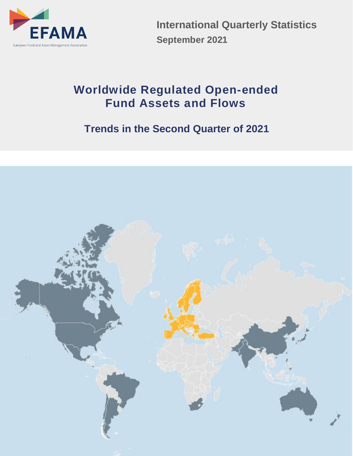

**International Quarterly Statistics September 2021**

# **Worldwide Regulated Open-ended Fund Assets and Flows**

# **Trends in the Second Quarter of 2021**

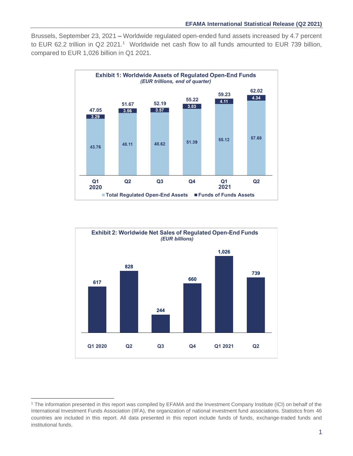Brussels, September 23, 2021 **–** Worldwide regulated open-ended fund assets increased by 4.7 percent to EUR 62.2 trillion in Q2 2021. <sup>1</sup> Worldwide net cash flow to all funds amounted to EUR 739 billion, compared to EUR 1,026 billion in Q1 2021.





<sup>1</sup> The information presented in this report was compiled by EFAMA and the Investment Company Institute (ICI) on behalf of the International Investment Funds Association (IIFA), the organization of national investment fund associations. Statistics from 46 countries are included in this report. All data presented in this report include funds of funds, exchange-traded funds and institutional funds.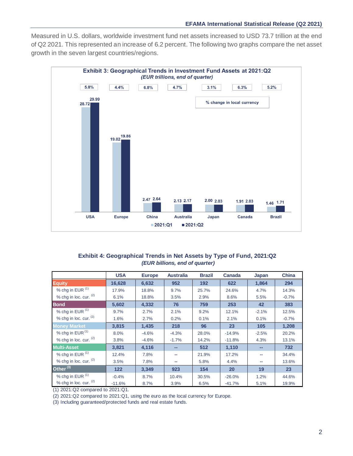Measured in U.S. dollars, worldwide investment fund net assets increased to USD 73.7 trillion at the end of Q2 2021. This represented an increase of 6.2 percent. The following two graphs compare the net asset growth in the seven largest countries/regions.



## **Exhibit 4: Geographical Trends in Net Assets by Type of Fund, 2021:Q2**  *(EUR billions, end of quarter)*

|                             | <b>USA</b> | <b>Europe</b> | <b>Australia</b> | <b>Brazil</b> | <b>Canada</b> | Japan   | <b>China</b> |
|-----------------------------|------------|---------------|------------------|---------------|---------------|---------|--------------|
| <b>Equity</b>               | 16,628     | 6,632         | 952              | 192           | 622           | 1,864   | 294          |
| % chg in EUR <sup>(1)</sup> | 17.9%      | 18.8%         | 9.7%             | 25.7%         | 24.6%         | 4.7%    | 14.3%        |
| % chg in loc. cur. $(2)$    | 6.1%       | 18.8%         | 3.5%             | 2.9%          | 8.6%          | 5.5%    | $-0.7%$      |
| <b>Bond</b>                 | 5,602      | 4,332         | 76               | 759           | 253           | 42      | 383          |
| % chg in EUR <sup>(1)</sup> | 9.7%       | 2.7%          | 2.1%             | 9.2%          | 12.1%         | $-2.1%$ | 12.5%        |
| % chg in loc. cur. $(2)$    | 1.6%       | 2.7%          | 0.2%             | 0.1%          | 2.1%          | 0.1%    | $-0.7%$      |
| <b>Money Market</b>         | 3,815      | 1,435         | 218              | 96            | 23            | 105     | 1,208        |
| % chg in EUR <sup>(1)</sup> | 8.0%       | $-4.6%$       | $-4.3%$          | 28.0%         | $-14.9%$      | $-2.5%$ | 20.2%        |
| % chg in loc. cur. $(2)$    | 3.8%       | $-4.6%$       | $-1.7%$          | 14.2%         | $-11.8%$      | 4.3%    | 13.1%        |
| <b>Multi-Asset</b>          | 3,821      | 4,116         | --               | 512           | 1,110         | --      | 732          |
| % chg in EUR <sup>(1)</sup> | 12.4%      | 7.8%          |                  | 21.9%         | 17.2%         |         | 34.4%        |
| % chg in loc. cur. (2)      | 3.5%       | 7.8%          | --               | 5.8%          | 4.4%          | --      | 13.6%        |
| Other <sup>(3)</sup>        | 122        | 3,349         | 923              | 154           | 20            | 19      | 23           |
| % chg in EUR (1)            | $-0.4%$    | 8.7%          | 10.4%            | 30.5%         | $-26.0%$      | 1.2%    | 44.6%        |
| % chg in loc. cur. $(2)$    | $-11.6%$   | 8.7%          | 3.9%             | 6.5%          | $-41.7%$      | 5.1%    | 19.9%        |

(1) 2021:Q2 compared to 2021:Q1.

(2) 2021:Q2 compared to 2021:Q1, using the euro as the local currency for Europe.

(3) Including guaranteed/protected funds and real estate funds.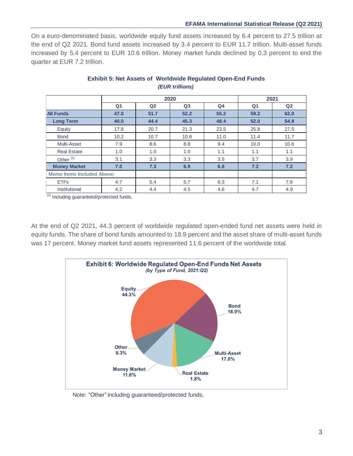## **EFAMA International Statistical Release (Q2 2021)**

On a euro-denominated basis, worldwide equity fund assets increased by 6.4 percent to 27.5 trillion at the end of Q2 2021. Bond fund assets increased by 3.4 percent to EUR 11.7 trillion. Multi-asset funds increased by 5.4 percent to EUR 10.6 trillion. Money market funds declined by 0.3 percent to end the quarter at EUR 7.2 trillion.

|                                   |                |                | 2020           |                |                | 2021           |  |  |  |
|-----------------------------------|----------------|----------------|----------------|----------------|----------------|----------------|--|--|--|
|                                   | Q <sub>1</sub> | Q <sub>2</sub> | Q <sub>3</sub> | Q <sub>4</sub> | Q <sub>1</sub> | Q <sub>2</sub> |  |  |  |
| <b>All Funds</b>                  | 47.0           | 51.7           | 52.2           | 55.2           | 59.2           | 62.0           |  |  |  |
| <b>Long Term</b>                  | 40.0           | 44.4           | 45.3           | 48.4           | 52.0           | 54.8           |  |  |  |
| Equity                            | 17.8           | 20.7           | 21.3           | 23.5           | 25.8           | 27.5           |  |  |  |
| <b>Bond</b>                       | 10.2           | 10.7           | 10.8           | 11.0           | 11.4           | 11.7           |  |  |  |
| <b>Multi-Asset</b>                | 7.9            | 8.6            | 8.8            | 9.4            | 10.0           | 10.6           |  |  |  |
| <b>Real Estate</b>                | 1.0            | 1.0            | 1.0            | 1.1            | 1.1            | 1.1            |  |  |  |
| Other <sup>(1)</sup>              | 3.1            | 3.3            | 3.3            | 3.5            | 3.7            | 3.9            |  |  |  |
| <b>Money Market</b>               | 7.0            | 7.3            | 6.9            | 6.8            | 7.2            | 7.2            |  |  |  |
| <b>Memo Items Included Above:</b> |                |                |                |                |                |                |  |  |  |
| <b>ETFs</b>                       | 4.7            | 5.4            | 5.7            | 6.3            | 7.1            | 7.6            |  |  |  |
| Institutional                     | 4.2            | 4.4            | 4.5            | 4.6            | 4.7            | 4.9            |  |  |  |

## **Exhibit 5: Net Assets of Worldwide Regulated Open-End Funds** *(EUR trillions)*

(1) Including guaranteed/protected funds.

At the end of Q2 2021, 44.3 percent of worldwide regulated open-ended fund net assets were held in equity funds. The share of bond funds amounted to 18.9 percent and the asset share of multi-asset funds was 17 percent. Money market fund assets represented 11.6 percent of the worldwide total.



Note: "Other" including guaranteed/protected funds.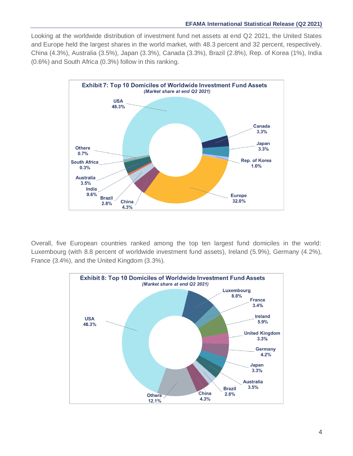Looking at the worldwide distribution of investment fund net assets at end Q2 2021, the United States and Europe held the largest shares in the world market, with 48.3 percent and 32 percent, respectively. China (4.3%), Australia (3.5%), Japan (3.3%), Canada (3.3%), Brazil (2.8%), Rep. of Korea (1%), India (0.6%) and South Africa (0.3%) follow in this ranking.



Overall, five European countries ranked among the top ten largest fund domiciles in the world: Luxembourg (with 8.8 percent of worldwide investment fund assets), Ireland (5.9%), Germany (4.2%), France (3.4%), and the United Kingdom (3.3%).

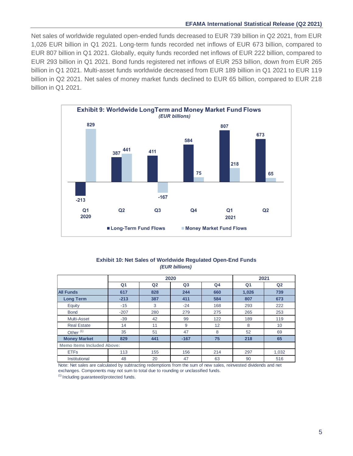## **EFAMA International Statistical Release (Q2 2021)**

Net sales of worldwide regulated open-ended funds decreased to EUR 739 billion in Q2 2021, from EUR 1,026 EUR billion in Q1 2021. Long-term funds recorded net inflows of EUR 673 billion, compared to EUR 807 billion in Q1 2021. Globally, equity funds recorded net inflows of EUR 222 billion, compared to EUR 293 billion in Q1 2021. Bond funds registered net inflows of EUR 253 billion, down from EUR 265 billion in Q1 2021. Multi-asset funds worldwide decreased from EUR 189 billion in Q1 2021 to EUR 119 billion in Q2 2021. Net sales of money market funds declined to EUR 65 billion, compared to EUR 218 billion in Q1 2021.



### **Exhibit 10: Net Sales of Worldwide Regulated Open-End Funds** *(EUR billions)*

|                                   |                |                | 2020           |                | 2021           |                |
|-----------------------------------|----------------|----------------|----------------|----------------|----------------|----------------|
|                                   | Q <sub>1</sub> | Q <sub>2</sub> | Q <sub>3</sub> | Q <sub>4</sub> | Q <sub>1</sub> | Q <sub>2</sub> |
| <b>All Funds</b>                  | 617            | 828            | 244            | 660            | 1,026          | 739            |
| <b>Long Term</b>                  | $-213$         | 387            | 411            | 584            | 807            | 673            |
| Equity                            | $-15$          | 3              | $-24$          | 168            | 293            | 222            |
| <b>Bond</b>                       | $-207$         | 280            | 279            | 275            | 265            | 253            |
| Multi-Asset                       | $-39$          | 42             | 99             | 122            | 189            | 119            |
| <b>Real Estate</b>                | 14             | 11             | 9              | 12             | 8              | 10             |
| Other <sup>(1)</sup>              | 35             | 51             | 47             | 8              | 52             | 69             |
| <b>Money Market</b>               | 829            | 441            | $-167$         | 75             | 218            | 65             |
| <b>Memo Items Included Above:</b> |                |                |                |                |                |                |
| <b>ETFs</b>                       | 113            | 155            | 156            | 214            | 297            | 1,032          |
| Institutional                     | 48             | 20             | 47             | 63             | 90             | 516            |

Note: Net sales are calculated by subtracting redemptions from the sum of new sales, reinvested dividends and net exchanges. Components may not sum to total due to rounding or unclassified funds.

(1) Including guaranteed/protected funds.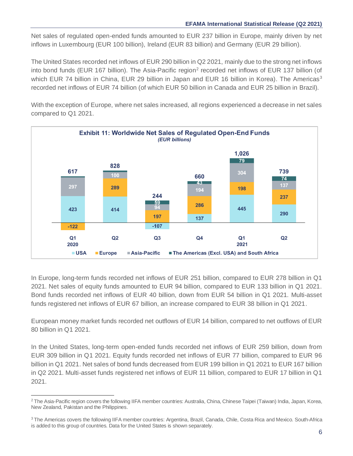Net sales of regulated open-ended funds amounted to EUR 237 billion in Europe, mainly driven by net inflows in Luxembourg (EUR 100 billion), Ireland (EUR 83 billion) and Germany (EUR 29 billion).

The United States recorded net inflows of EUR 290 billion in Q2 2021, mainly due to the strong net inflows into bond funds (EUR 167 billion). The Asia-Pacific region<sup>2</sup> recorded net inflows of EUR 137 billion (of which EUR 74 billion in China, EUR 29 billion in Japan and EUR 16 billion in Korea). The Americas<sup>3</sup> recorded net inflows of EUR 74 billion (of which EUR 50 billion in Canada and EUR 25 billion in Brazil).

With the exception of Europe, where net sales increased, all regions experienced a decrease in net sales compared to Q1 2021.



In Europe, long-term funds recorded net inflows of EUR 251 billion, compared to EUR 278 billion in Q1 2021. Net sales of equity funds amounted to EUR 94 billion, compared to EUR 133 billion in Q1 2021. Bond funds recorded net inflows of EUR 40 billion, down from EUR 54 billion in Q1 2021. Multi-asset funds registered net inflows of EUR 67 billion, an increase compared to EUR 38 billion in Q1 2021.

European money market funds recorded net outflows of EUR 14 billion, compared to net outflows of EUR 80 billion in Q1 2021.

In the United States, long-term open-ended funds recorded net inflows of EUR 259 billion, down from EUR 309 billion in Q1 2021. Equity funds recorded net inflows of EUR 77 billion, compared to EUR 96 billion in Q1 2021. Net sales of bond funds decreased from EUR 199 billion in Q1 2021 to EUR 167 billion in Q2 2021. Multi-asset funds registered net inflows of EUR 11 billion, compared to EUR 17 billion in Q1 2021.

<sup>&</sup>lt;sup>2</sup> The Asia-Pacific region covers the following IIFA member countries: Australia, China, Chinese Taipei (Taiwan) India, Japan, Korea, New Zealand, Pakistan and the Philippines.

<sup>3</sup> The Americas covers the following IIFA member countries: Argentina, Brazil, Canada, Chile, Costa Rica and Mexico. South-Africa is added to this group of countries. Data for the United States is shown separately.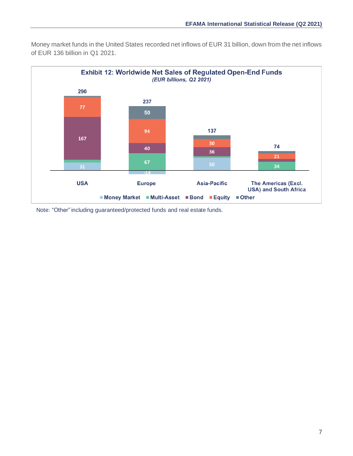Money market funds in the United States recorded net inflows of EUR 31 billion, down from the net inflows of EUR 136 billion in Q1 2021.



Note: "Other" including guaranteed/protected funds and real estate funds.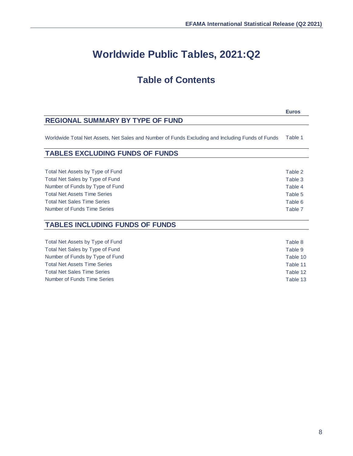# **Worldwide Public Tables, 2021:Q2**

## **Table of Contents**

**Euros**

## **REGIONAL SUMMARY BY TYPE OF FUND**

Worldwide Total Net Assets, Net Sales and Number of Funds Excluding and Including Funds of Funds Table 1

| <b>TABLES EXCLUDING FUNDS OF FUNDS</b> |  |  |  |  |
|----------------------------------------|--|--|--|--|
|----------------------------------------|--|--|--|--|

Total Net Assets by Type of Fund Table 2 Total Net Sales by Type of Fund Table 3 Number of Funds by Type of Fund Table 4 Total Net Assets Time Series Table 5 Total Net Sales Time Series Table 6 and the United States Table 6 and the United States Table 6 and the United States Table 6 and the United States Table 6 and the United States Table 6 and the United States Table 6 and th Number of Funds Time Series Table 7

## **TABLES INCLUDING FUNDS OF FUNDS**

Total Net Assets by Type of Fund Table 8 Total Net Sales by Type of Fund Table 9 Number of Funds by Type of Fund Table 10 Total Net Assets Time Series Table 11 Total Net Sales Time Series Table 12 Number of Funds Time Series Table 13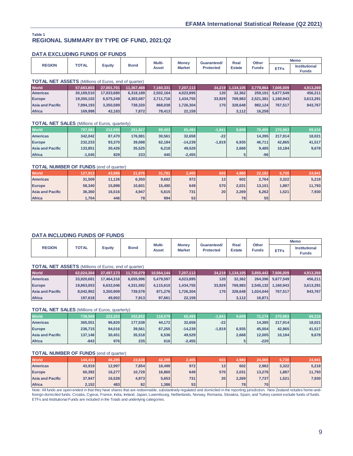#### **REGIONAL SUMMARY BY TYPE OF FUND, 2021:Q2 Table 1**

## **DATA EXCLUDING FUNDS OF FUNDS**

| Equity<br><b>Institutional</b><br><b>Funds</b><br><b>Estate</b><br><b>Market</b><br><b>Protected</b><br><b>ETFs</b><br>Asset<br><b>Funds</b> | <b>REGION</b> | <b>TOTAL</b> |  | <b>Bond</b> | Multi- | <b>Money</b> | Guaranteed/ | Real | Other | <b>Memo</b> |
|----------------------------------------------------------------------------------------------------------------------------------------------|---------------|--------------|--|-------------|--------|--------------|-------------|------|-------|-------------|
|                                                                                                                                              |               |              |  |             |        |              |             |      |       |             |

#### **TOTAL NET ASSETS** (Millions of Euros, end of quarter)

| <b>World</b>            | 57.683.803 | 27.001.701 | 11.367.468 | 7.160.331 | 7.207.113 |        | 34.219 1.134.105 |           | 3,778,864 7,606,009 | 4,913,269 |
|-------------------------|------------|------------|------------|-----------|-----------|--------|------------------|-----------|---------------------|-----------|
| <b>Americas</b>         | 30.169.510 | 17.033.680 | 6.318.189  | 2.502.164 | 4.023.895 | 120    | 32.362           | 259.101   | 5.677.549           | 456.211   |
| <b>Europe</b>           | 19.350.102 | 6.575.249  | 4.303.087  | 3.711.716 | 1.434.755 | 33.929 | 769,983          | 2.521.381 | 1.160.943           | 3.613.291 |
| <b>Asia and Pacific</b> | 7.994.193  | 3.350.589  | 738.320    | 868,038   | 1.726.304 | 170    | 328,648          | 982.124   | 767.517             | 843.767   |
| <b>Africa</b>           | 169,998    | 42,183     | 7,872      | 78,413    | 22,159    |        | 3,112            | 16.258    |                     |           |

#### **TOTAL NET SALES** (Millions of Euros, quarterly)

| <b>World</b>            | 707,081  | 212.095 | 251.827 | 99,403 | 65,493    | $-1,841$ | 9,608 | 70.495 | 270,963 | 69,216 |
|-------------------------|----------|---------|---------|--------|-----------|----------|-------|--------|---------|--------|
| <b>Americas</b>         | 342.042  | 87.470  | 176.981 | 30.561 | 32,658    | $-22$    |       | 14.395 | 217.914 | 18,021 |
| <b>Europe</b>           | 232,233  | 93,370  | 39,088  | 62.184 | $-14.239$ | $-1.819$ | 6.935 | 46.711 | 42.865  | 41,517 |
| <b>Asia and Pacific</b> | 133,851  | 30.426  | 35,525  | 6.218  | 49,529    |          | 2.668 | 9.485  | 10.184  | 9,678  |
| <b>Africa</b>           | $-1,045$ | 829     | 233     | 440    | $-2,455$  |          |       | $-96$  |         |        |

#### **TOTAL NUMBER OF FUNDS** (end of quarter)

| <b>World</b>            | 127.913 | 43.986 | 21.976 | 31.781 | 2.405 | 603 | 1,980 | 22.182 | 6.730 | 24,941 |
|-------------------------|---------|--------|--------|--------|-------|-----|-------|--------|-------|--------|
| <b>Americas</b>         | 31,509  | 11,126 | 6.350  | 9,682  | 972   | 13  | 602   | 2.764  | 3,322 | 5,218  |
| <b>Europe</b>           | 58,340  | 15,898 | 10,601 | 15,490 | 649   | 570 | 2.031 | 13,101 | ,887  | 11,793 |
| <b>Asia and Pacific</b> | 36,360  | 16.516 | 4.947  | 5.615  | 731   | 20  | 2.269 | 6,262  | ,521  | 7,930  |
| <b>Africa</b>           | .704    | 446    | 781    | 994    | 53    |     | 78    | 55     |       |        |

## **DATA INCLUDING FUNDS OF FUNDS**

|               |              |        |             |                 | <b>Money</b>  |                                 |                       |                       | <b>Memo</b> |                                      |
|---------------|--------------|--------|-------------|-----------------|---------------|---------------------------------|-----------------------|-----------------------|-------------|--------------------------------------|
| <b>REGION</b> | <b>TOTAL</b> | ∠quity | <b>Bond</b> | Multi-<br>Asset | <b>Market</b> | Guaranteed/<br><b>Protected</b> | Real<br><b>Estate</b> | Other<br><b>Funds</b> | <b>ETFs</b> | <b>Institutional</b><br><b>Funds</b> |

|                         | <b>TOTAL NET ASSETS</b> (Millions of Euros, end of quarter) |            |            |            |           |        |                  |           |                     |           |  |  |  |
|-------------------------|-------------------------------------------------------------|------------|------------|------------|-----------|--------|------------------|-----------|---------------------|-----------|--|--|--|
| <b>World</b>            | 62,024,304                                                  | 27,497,173 | 11,735,079 | 10,564,144 | 7,207,113 |        | 34,219 1,134,105 |           | 3,850,443 7,606,009 | 4,913,269 |  |  |  |
| <b>Americas</b>         | 33,920,681                                                  | 17.464.316 | 6.655.996  | 5.479.597  | 4,023,895 | 120    | 32,362           | 264.396   | 5.677.549           | 456.211   |  |  |  |
| <b>Europe</b>           | 19,863,053                                                  | 6.632.046  | 4.331.592  | 4,115,610  | 1.434.755 | 33.929 | 769.983          | 2.545.132 | 1.160.943           | 3,613,291 |  |  |  |
| <b>Asia and Pacific</b> | 8,042,952                                                   | 3.350.909  | 739.578    | 871.276    | 1.726.304 | 170    | 328,648          | 1.024.044 | 767.517             | 843.767   |  |  |  |
| <b>Africa</b>           | 197,618                                                     | 49,902     | 7,913      | 97,661     | 22,159    |        | 3,112            | 16,871    |                     |           |  |  |  |

#### **TOTAL NET SALES** (Millions of Euros, quarterly)

| <b>World</b>            | 738,569 | 222,263 | 252.852 | 118.579 | 65,493    | $-1,841$ | 9,608 | 71.174 | 270.963 | 69,216 |
|-------------------------|---------|---------|---------|---------|-----------|----------|-------|--------|---------|--------|
| <b>Americas</b>         | 365.551 | 96.820  | 177.538 | 44.172  | 32.658    | $-22$    |       | 14.385 | 217.914 | 18,021 |
| <b>Europe</b>           | 236,715 | 94,016  | 39,561  | 67.255  | $-14.239$ | $-1.819$ | 6.935 | 45,004 | 42.865  | 41,517 |
| <b>Asia and Pacific</b> | 137.146 | 30.451  | 35,518  | 6,536   | 49,529    |          | 2.668 | 12.005 | 10.184  | 9,678  |
| <b>Africa</b>           | $-843$  | 976     | 235     | 616     | $-2,455$  |          |       | $-220$ |         |        |

## **TOTAL NUMBER OF FUNDS** (end of quarter)

| <b>World</b>            | 144.410 | 46,285 | 23,638 | 42,398 | 2,405 | 603' | 1,980 | 24,065 | 6.730 | 24,941 |
|-------------------------|---------|--------|--------|--------|-------|------|-------|--------|-------|--------|
| <b>Americas</b>         | 43,919  | 12.997 | 7.854  | 18.499 | 972   | 13   | 602   | 2,982  | 3,322 | 5,218  |
| <b>Europe</b>           | 60,392  | 16,277 | 10,729 | 16,860 | 649   | 570  | 2.031 | 13.276 | ,887  | 11,793 |
| <b>Asia and Pacific</b> | 37,947  | 16.528 | 4.973  | 5,653  | 731   | 20   | 2.269 | 7,737  | .521  | 7,930  |
| <b>Africa</b>           | 2,152   | 483    | 82     | ,386   | 53    |      | 78    | 70     |       |        |

Note: All funds are open-ended in that they have shares that are redeemable, substantively regulated and domiciled in the reporting jurisdiction. New Zealand ncludes home-andforeign domiciled funds. Croatia, Cyprus, France, India, Ireland, Japan, Luxembourg, Netherlands, Norway, Romania, Slovakia, Spain, and Turkey cannot exclude funds of funds. ETFs and Institutional Funds are included in the Totals and underlying categories.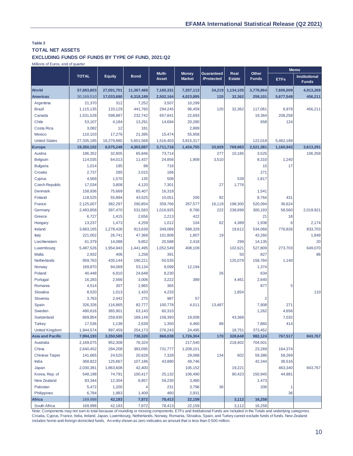## **Table 2 TOTAL NET ASSETS**

#### **EXCLUDING FUNDS OF FUNDS BY TYPE OF FUND, 2021:Q2**

Millions of Euros, end of quarter

|                         |                    |                    |               | Multi-       | <b>Money</b>  | <b>Guaranteed</b> | Real          | Other        |             | <b>Memo</b>                          |
|-------------------------|--------------------|--------------------|---------------|--------------|---------------|-------------------|---------------|--------------|-------------|--------------------------------------|
|                         | <b>TOTAL</b>       | <b>Equity</b>      | <b>Bond</b>   | <b>Asset</b> | <b>Market</b> | /Protected        | <b>Estate</b> | <b>Funds</b> | <b>ETFs</b> | <b>Institutional</b><br><b>Funds</b> |
| <b>World</b>            | 57,683,803         | 27,001,701         | 11,367,468    | 7,160,331    | 7,207,113     | 34,219            | 1,134,105     | 3,778,864    | 7,606,009   | 4,913,269                            |
| <b>Americas</b>         | 30,169,510         | 17,033,680         | 6,318,189     | 2,502,164    | 4,023,895     | 120               | 32,362        | 259,101      | 5,677,549   | 456,211                              |
| Argentina               | 21,370             | 312                | 7,252         | 3,507        | 10,299        |                   |               |              |             |                                      |
| <b>Brazil</b>           | 1,115,135          | 133,129            | 441,760       | 294,245      | 96,459        | 120               | 32,362        | 117,061      | 6,978       | 456,211                              |
| Canada                  | 1,531,528          | 598,887            | 232,742       | 657,841      | 22,693        |                   |               | 19,364       | 208,258     |                                      |
| Chile                   | 53,107             | 4,184              | 13,291        | 14,694       | 20,280        |                   |               | 658          | 124         |                                      |
| Costa Rica              | 3,082              | 12                 | 181           |              | 2,889         |                   |               |              |             |                                      |
| Mexico                  | 110,103            | 17,276             | 21,395        | 15,474       | 55,958        |                   |               |              |             |                                      |
| <b>United States</b>    | 27,335,185         | 16,279,880         | 5,601,568     | 1,516,403    | 3,815,317     |                   |               | 122,018      | 5,462,189   |                                      |
| Europe                  | 19,350,102         | 6,575,249          | 4,303,087     | 3,711,716    | 1,434,755     | 33,929            | 769,983       | 2,521,381    | 1,160,943   | 3,613,291                            |
| Austria                 | 186,352            | 32,805             | 65,846        | 73,714       |               | 277               | 10,185        | 3,525        |             | 106,358                              |
| <b>Belgium</b>          | 114,035            | 64,013             | 11,437        | 24,856       | 1,909         | 3,510             |               | 8,310        | 1,240       |                                      |
| <b>Bulgaria</b>         | 1,014              | 195                | 88            | 716          |               |                   |               | 15           | 17          |                                      |
| Croatia                 | 2,737              | 285                | 2,015         | 166          |               |                   |               | 271          |             |                                      |
| Cyprus                  | 4,569              | 1,570              | 135           | 508          |               |                   | 539           | 1,817        |             |                                      |
| Czech Republic          | 17,034             | 3,808              | 4,120         | 7,301        |               | 27                | 1,776         |              |             |                                      |
| Denmark                 | 158,936            | 75,669             | 65,407        | 16,318       |               |                   |               | 1,541        |             |                                      |
| Finland                 | 118,525            | 55,894             | 43,525        | 10,051       | 200           | 92                |               | 8,764        | 431         |                                      |
| France                  | 2,125,007          | 382,297            | 290,854       | 359,766      | 357,577       | 16,119            | 198,300       | 520,094      | 36,624      |                                      |
| Germany                 | 2,493,858          | 397,470            | 531,583       | 1,016,925    | 8,766         | 222               | 238,699       | 300,193      | 58,560      | 2,019,921                            |
| Greece                  | 6,727              | 1,415              | 2,656         | 2,213        | 422           |                   |               | 21           | 18          |                                      |
| Hungary                 | 13,237             | 1,473              | 4,259         | 1,012        | 104           | 62                | 4,389         | 1,938        | 6           | 2,174                                |
| Ireland                 | 3,683,165          | 1,278,428          | 913,639       | 349,089      | 588,329       |                   | 19,612        | 534,068      | 776,826     | 833,703                              |
| Italy                   | 221,002            | 26,741             | 47,368        | 101,808      | 1,807         | 19                |               | 43,260       |             | 1,849                                |
| Liechtenstein           | 61,379             | 14,088             | 9,852         | 20,588       | 2,418         |                   | 299           | 14,135       |             | 20                                   |
| Luxembourg              | 5,487,526          | 1,954,943          | 1,441,495     | 1,052,549    | 408,109       |                   | 102,621       | 527,809      | 273,703     | 649,070                              |
| Malta                   | 2,932              | 406                | 1,258         | 391          |               |                   | 50            | 827          |             | 86                                   |
| Netherlands             | 959,763            | 435,144            | 190,221       | 50,535       |               |                   | 125,079       | 158,784      | 1,140       |                                      |
| Norway                  | 169,870            | 94,069             | 53,134        | 9,099        | 12,194        |                   |               | 1,374        |             |                                      |
| Poland                  | 40,448             | 6,910              | 24,648        | 8,230        |               | 26                |               | 634          |             |                                      |
| Portugal                | 16,283             | 2,566              | 3,006         | 3,222        | 389           |                   | 4,461         | 2,640        |             |                                      |
| Romania                 | 4,514              | 307                | 2,965         | 365          |               |                   |               | 877          | 5           |                                      |
| Slovakia<br>Slovenia    | 8,520              | 1,013              | 1,420         | 4,233<br>987 |               |                   | 1,854         |              |             | 110                                  |
|                         | 3,763              | 2,442              | 275<br>82,777 | 100,778      | 57<br>4,511   | 13,487            |               | 2<br>7,908   | 271         |                                      |
| Spain<br>Sweden         | 326,326<br>490,616 | 116,865<br>365,901 | 63,143        | 60,310       |               |                   |               | 1,262        | 4,656       |                                      |
| Switzerland             | 669,854            | 259,935            | 189,149       | 158,393      | 19,008        |                   | 43,368        |              | 7,032       |                                      |
| <b>Turkey</b>           | 17,536             | 1,138              | 2,639         | 1,350        | 4,460         | 88                |               | 7,860        | 414         |                                      |
| <b>United Kingdom</b>   | 1,944,574          | 997,459            | 254,173       | 276,243      | 24,495        |                   | 18,751        | 373,452      |             |                                      |
| <b>Asia and Pacific</b> | 7,994,193          | 3,350,589          | 738,320       | 868,038      | 1,726,304     | 170               | 328,648       | 982,124      | 767,517     | 843,767                              |
| Australia               | 2,169,075          | 952,308            | 76,324        |              | 217,540       |                   | 218,402       | 704,501      |             |                                      |
| China                   | 2,640,452          | 294,208            | 383,095       | 731,777      | 1,208,101     |                   |               | 23,269       | 164,374     |                                      |
| <b>Chinese Taipei</b>   | 141,665            | 24,520             | 20,628        | 7,328        | 29,068        | 134               | 602           | 59,386       | 58,269      |                                      |
| India                   | 368,822            | 125,667            | 107,186       | 43,880       | 49,746        |                   |               | 42,344       | 36,516      |                                      |
| Japan                   | 2,030,381          | 1,863,608          | 42,400        |              | 105,152       |                   | 19,221        |              | 463,340     | 843,767                              |
| Korea, Rep. of          | 548,198            | 74,791             | 100,417       | 25,132       | 106,490       |                   | 90,423        | 150,945      | 44,981      |                                      |
| New Zealand             | 83,344             | 12,304             | 6,857         | 59,230       | 3,480         |                   |               | 1,473        |             |                                      |
| Pakistan                | 5,472              | 1,200              |               | 231          | 3,796         | 36                |               | 206          | 1           |                                      |
| Philippines             | 6,784              | 1,983              | 1,409         | 460          | 2,931         |                   |               |              | 36          |                                      |
| Africa                  | 169,998            | 42,183             | 7,872         | 78,413       | 22,159        |                   | 3,112         | 16,258       |             |                                      |
| South Africa            | 169,998            | 42,183             | 7,872         | 78,413       | 22,159        |                   | 3,112         | 16,258       |             |                                      |

Note: Components may not sum to total because of rounding or missing components. ETFs and Institutional Funds are included in the Totals and underlying categories. Croatia, Cyprus, France, India, Ireland, Japan, Luxembourg, Netherlands, Norway, Romania, Slovakia, Spain, and Turkey cannot exclude funds of funds. New Zealand includes home-and-foreign domiciled funds. An entry shown as zero indicates an amount that is less than 0.500 million.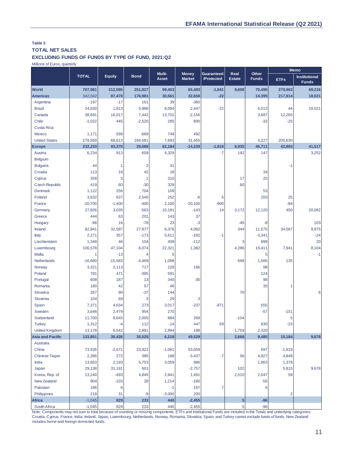## **Table 3 TOTAL NET SALES**

#### **EXCLUDING FUNDS OF FUNDS BY TYPE OF FUND, 2021:Q2**

Millions of Euros, quarterly

|                         |              |               |                | Multi-       |                               |                          |                         |                       |                | <b>Memo</b>                          |
|-------------------------|--------------|---------------|----------------|--------------|-------------------------------|--------------------------|-------------------------|-----------------------|----------------|--------------------------------------|
|                         | <b>TOTAL</b> | <b>Equity</b> | <b>Bond</b>    | <b>Asset</b> | <b>Money</b><br><b>Market</b> | Guaranteed<br>/Protected | Real<br><b>Estate</b>   | Other<br><b>Funds</b> | <b>ETFs</b>    | <b>Institutional</b><br><b>Funds</b> |
| <b>World</b>            | 707,081      | 212,095       | 251,827        | 99,403       | 65,493                        | $-1,841$                 | 9,608                   | 70,495                | 270,963        | 69,216                               |
| <b>Americas</b>         | 342,042      | 87,470        | 176,981        | 30,561       | 32,658                        | $-22$                    |                         | 14,395                | 217,914        | 18,021                               |
| Argentina               | $-197$       | $-17$         | 161            | 39           | $-380$                        |                          |                         |                       |                |                                      |
| <b>Brazil</b>           | 24,830       | 1,813         | 5,986          | 8,094        | 2,447                         | $-22$                    |                         | 6,513                 | 44             | 18,021                               |
| Canada                  | 38,691       | 16,017        | 7,442          | 13,701       | $-2,156$                      |                          |                         | 3,687                 | 12,265         |                                      |
| Chile                   | $-1,022$     | 445           | $-2,520$       | 285          | 800                           |                          |                         | $-32$                 | $-25$          |                                      |
| Costa Rica              |              |               |                |              |                               |                          |                         |                       |                |                                      |
| Mexico                  | 1,171        | 599           | $-669$         | 749          | 492                           |                          |                         |                       |                |                                      |
| <b>United States</b>    | 278,569      | 68,613        | 166,581        | 7,693        | 31,455                        |                          |                         | 4,227                 | 205,630        |                                      |
| Europe                  | 232,233      | 93,370        | 39,088         | 62,184       | $-14,239$                     | $-1,819$                 | 6,935                   | 46,711                | 42,865         | 41,517                               |
| Austria                 | 6,234        | 913           | 659            | 4,329        |                               | $-7$                     | 192                     | 147                   |                | 3,252                                |
| <b>Belgium</b>          |              |               |                |              |                               |                          |                         |                       |                |                                      |
| <b>Bulgaria</b>         | 44           | 1             | $\overline{2}$ | 41           |                               |                          |                         |                       | $-1$           |                                      |
| Croatia                 | 113          | 18            | 42             | 18           |                               |                          |                         | 34                    |                |                                      |
| Cyprus                  | 358          | 5             | $\overline{1}$ | 310          |                               |                          | 17                      | 25                    |                |                                      |
| <b>Czech Republic</b>   | 419          | 60            | $-30$          | 329          |                               |                          | 60                      |                       |                |                                      |
| Denmark                 | 1,122        | 256           | 704            | 109          |                               |                          |                         | 53                    |                |                                      |
| Finland                 | 3,632        | 637           | 2,540          | 252          | $-6$                          | 5                        |                         | 203                   | 25             |                                      |
| France                  | $-20,700$    | $-1,400$      | $-400$         | 2,100        | $-20,100$                     | $-900$                   |                         |                       | $-84$          |                                      |
| Germany                 | 27,826       | 3,035         | $-563$         | 10,191       | $-143$                        | 14                       | 3,172                   | 12,120                | 450            | 20,082                               |
| Greece                  | 444          | 63            | 201            | 143          | 37                            |                          |                         |                       |                |                                      |
| Hungary                 | $-96$        | 16            | $-78$          | 23           | $-3$                          |                          | $-45$                   | -8                    |                | 103                                  |
| Ireland                 | 82,841       | 32,587        | 27,877         | 6,376        | 4,082                         |                          | 344                     | 11,575                | 34,567         | 9,975                                |
| Italy                   | 2,271        | 357           | $-173$         | 5,611        | $-182$                        | $-1$                     |                         | $-3,341$              |                | $-24$                                |
| Liechtenstein           | 1,348        | 46            | 104            | 409          | $-112$                        |                          | 3                       | 899                   |                | 20                                   |
| Luxembourg              | 100,578      | 47,104        | 6,074          | 22,321       | 1,382                         |                          | 4,286                   | 19,411                | 7,941          | 8,104                                |
| Malta                   | 1            | $-13$         | $\overline{4}$ | 5            |                               |                          |                         | 5                     |                | $-1$                                 |
| Netherlands             | $-16,680$    | $-15,583$     | $-4,469$       | 1,088        |                               |                          | 699                     | 1,585                 | 135            |                                      |
| Norway                  | 3,321        | 2,113         | 717            | 228          | 166                           |                          |                         | 98                    |                |                                      |
| Poland                  | 791          | 471           | $-395$         | 591          |                               |                          |                         | 124                   |                |                                      |
| Portugal                | 608          | 187           | 13             | 340          | $-30$                         |                          |                         | 98                    |                |                                      |
| Romania                 | 180          | 42            | 57             | 46           |                               |                          |                         | 35                    | 1              |                                      |
| Slovakia                | 267          | 90            | $-37$          | 144          |                               |                          | 70                      |                       |                | 6                                    |
| Slovenia                | 104          | 69            | 3              | 29           | 3                             |                          |                         |                       |                |                                      |
| Spain                   | 7,371        | 4,634         | 273            | 3,017        | $-237$                        | $-871$                   |                         | 555                   |                |                                      |
| Sweden                  | 3,646        | 2,479         | 954            | 270          |                               |                          |                         | $-57$                 | $-151$         |                                      |
| Switzerland             | 11,700       | 8,645         | 2,005          | 884          | 269                           |                          | $-104$                  |                       | 5              |                                      |
| <b>Turkey</b>           | 1,312        | $-4$          | 112            | $-14$        | 447                           | $-59$                    |                         | 830                   | $-23$          |                                      |
| <b>United Kingdom</b>   | 13,178       | 6,542         | 2,891          | 2,994        | 188                           |                          | $-1,759$                | 2,320                 |                |                                      |
| <b>Asia and Pacific</b> | 133,851      | 30,426        | 35,525         | 6,218        | 49,529                        |                          | 2,668                   | 9,485                 | 10,184         | 9,678                                |
| Australia               |              |               |                |              |                               |                          |                         |                       |                |                                      |
| China                   | 73,926       | $-2,671$      | 23,922         | $-1,081$     | 53,059                        |                          |                         | 697                   | $-1,918$       |                                      |
| Chinese Taipei          | 2,386        | 272           | 385            | 189          | $-3,437$                      | $-7$                     | 56                      | 4,927                 | 4,848          |                                      |
| India                   | 13,853       | 2,193         | 5,753          | 3,059        | 986                           |                          |                         | 1,863                 | 1,378          |                                      |
| Japan                   | 29,138       | 31,191        | 601            |              | $-2,757$                      |                          | 102                     |                       | 5,815          | 9,678                                |
| Korea, Rep. of          | 13,240       | $-493$        | 4,845          | 2,841        | 1,491                         |                          | 2,510                   | 2,047                 | 59             |                                      |
| New Zealand             | 904          | $-103$        | 28             | 1,214        | $-180$                        |                          |                         | $-55$                 |                |                                      |
| Pakistan                | 186          | 6             |                | $-1$         | 167                           | $\overline{7}$           |                         | 6                     |                |                                      |
| Philippines             | 218          | 31            | -9             | $-3.000$     | 200                           |                          |                         |                       | $\overline{2}$ |                                      |
| <b>Africa</b>           | $-1,045$     | 829           | 233            | 440          | $-2,455$                      |                          | $\overline{\mathbf{5}}$ | $-96$                 |                |                                      |
| South Africa            | $-1,045$     | 829           | 233            | 440          | $-2,455$                      |                          | 5                       | $-96$                 |                |                                      |

Note: Components may not sum to total because of rounding or missing components. ETFs and Institutional Funds are included in the Totals and underlying categories. Croatia, Cyprus, France, India, Ireland, Japan, Luxembourg, Netherlands, Norway, Romania, Slovakia, Spain, and Turkey cannot exclude funds of funds. New Zealand includes home-and-foreign domiciled funds.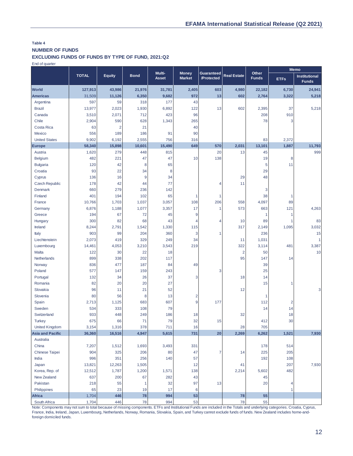#### **Table 4 NUMBER OF FUNDS**

**EXCLUDING FUNDS OF FUNDS BY TYPE OF FUND, 2021:Q2**

End of quarter

|                         |               |                |             | Multi-       | <b>Money</b>     | Guaranteed |                    | Other        |                | <b>Memo</b>                          |  |
|-------------------------|---------------|----------------|-------------|--------------|------------------|------------|--------------------|--------------|----------------|--------------------------------------|--|
|                         | <b>TOTAL</b>  | <b>Equity</b>  | <b>Bond</b> | <b>Asset</b> | <b>Market</b>    | /Protected | <b>Real Estate</b> | <b>Funds</b> | <b>ETFs</b>    | <b>Institutional</b><br><b>Funds</b> |  |
| <b>World</b>            | 127,913       | 43,986         | 21,976      | 31,781       | 2,405            | 603        | 4,980              | 22,182       | 6,730          | 24,941                               |  |
| <b>Americas</b>         | 31,509        | 11,126         | 6,350       | 9,682        | 972              | 13         | 602                | 2,764        | 3,322          | 5,218                                |  |
| Argentina               | 597           | 59             | 318         | 177          | 43               |            |                    |              |                |                                      |  |
| <b>Brazil</b>           | 13,977        | 2,023          | 1,930       | 6,892        | 122              | 13         | 602                | 2,395        | 37             | 5,218                                |  |
| Canada                  | 3,510         | 2,071          | 712         | 423          | 96               |            |                    | 208          | 910            |                                      |  |
| Chile                   | 2,904         | 590            | 628         | 1,343        | 265              |            |                    | 78           | 3              |                                      |  |
| Costa Rica              | 63            | $\overline{2}$ | 21          |              | 40               |            |                    |              |                |                                      |  |
| Mexico                  | 556           | 189            | 186         | 91           | 90               |            |                    |              |                |                                      |  |
| <b>United States</b>    | 9,902         | 6,192          | 2,555       | 756          | 316              |            |                    | 83           | 2,372          |                                      |  |
| <b>Europe</b>           | 58,340        | 15,898         | 10,601      | 15,490       | 649              | 570        | 2,031              | 13,101       | 1,887          | 11,793                               |  |
| Austria                 | 1,620         | 279            | 448         | 815          |                  | 20         | 13                 | 45           |                | 999                                  |  |
| <b>Belgium</b>          | 482           | 221            | 47          | 47           | 10               | 138        |                    | 19           | 8              |                                      |  |
| <b>Bulgaria</b>         | 120           | 42             | 8           | 65           |                  |            |                    | 5            | 11             |                                      |  |
| Croatia                 | 93            | 22             | 34          | 8            |                  |            |                    | 29           |                |                                      |  |
| Cyprus                  | 136           | 16             | 9           | 34           |                  |            | 29                 | 48           |                |                                      |  |
| <b>Czech Republic</b>   | 178           | 42             | 44          | 77           |                  | 4          | 11                 |              |                |                                      |  |
| <b>Denmark</b>          | 660           | 279            | 236         | 142          |                  |            |                    | 3            |                |                                      |  |
| Finland                 | 401           | 194            | 102         | 65           | 1                | 1          |                    | 38           | 1              |                                      |  |
| France                  | 10,766        | 1,703          | 1,037       | 3,057        | 108              | 206        | 558                | 4,097        | 89             |                                      |  |
| Germany                 | 6,876         | 1,188          | 1,077       | 3,357        | 17               | 1          | 573                | 663          | 121            | 4,263                                |  |
| Greece                  | 194           | 67             | 72          | 45           | 9                |            |                    | 1            | 1              |                                      |  |
| Hungary                 | 300           | 82             | 68          | 43           | 4                | 4          | 10                 | 89           | 1              | 83                                   |  |
| Ireland                 | 8,244         | 2,791          | 1,542       | 1,330        | 115              |            | 317                | 2,149        | 1,095          | 3,032                                |  |
| Italy                   | 903           | 99             | 204         | 360          | 3                | 1          |                    | 236          |                | 15                                   |  |
| Liechtenstein           | 2,073         | 419            | 329         | 249          | 34               |            | 11                 | 1,031        |                | 1                                    |  |
| Luxembourg              | 14,461        | 4,053          | 3,210       | 3,543        | 219              |            | 322                | 3,114        | 481            | 3,387                                |  |
| Malta                   | 122           | 30             | 22          | 18           |                  |            | $\overline{2}$     | 50           |                | 10                                   |  |
| Netherlands             | 899           | 338            | 202         | 117          |                  |            | 95                 | 147          | 14             |                                      |  |
| Norway                  | 836           | 477            | 187         | 84           | 49               |            |                    | 39           |                |                                      |  |
| Poland                  | 577           | 147            | 159         | 243          |                  | 3          |                    | 25           |                |                                      |  |
| Portugal                | 132           | 34             | 26          | 37           | 3                |            | 18                 | 14           |                |                                      |  |
| Romania                 | 82            | 20             | 20          | 27           |                  |            |                    | 15           | 1              |                                      |  |
| Slovakia                | 96            | 11             | 21          | 52           |                  |            | 12                 |              |                | 3                                    |  |
| Slovenia                | 80            | 56             | 8           | 13           | 2                |            |                    | -1           |                |                                      |  |
| Spain                   | 2,713         | 1,125          | 683         | 607          | 9                | 177        |                    | 112          | $\overline{2}$ |                                      |  |
| Sweden                  | 534           | 333            | 108         | 79           |                  |            |                    | 14           | 14             |                                      |  |
| Switzerland             | 933           | 448            | 249         | 186          | 18               |            | 32                 |              | 18             |                                      |  |
| <b>Turkey</b>           | 675           | 66             | 71          | 79           | 32               | 15         |                    | 412          | 30             |                                      |  |
| <b>United Kingdom</b>   | 3,154         | 1,316          | 378         | 711          | 16               |            | 28                 | 705          |                |                                      |  |
| <b>Asia and Pacific</b> | 36,360        | 16,516         | 4,947       | 5,615        | 731              | 20         | 2,269              | 6,262        | 1,521          | 7,930                                |  |
| Australia               |               |                |             |              |                  |            |                    |              |                |                                      |  |
| China                   | 7,207         | 1,512          | 1,693       | 3,493        | 331              |            |                    | 178          | 514            |                                      |  |
| Chinese Taipei          | 904           | 325<br>351     | 206         | 80           | 47               | 7          | 14                 | 225<br>192   | 205            |                                      |  |
| India                   | 996<br>13,821 | 12,263         | 256         | 140          | 57<br>12         |            |                    |              | 108<br>207     |                                      |  |
| Japan                   |               |                | 1,505       |              |                  |            | 41                 |              |                | 7,930                                |  |
| Korea, Rep. of          | 12,512<br>637 | 1,787<br>200   | 1,200<br>67 | 1,571        | 138<br>43        |            | 2,214              | 5,602        | 482            |                                      |  |
| New Zealand<br>Pakistan | 218           | 55             | 1           | 282<br>32    | 97               | 13         |                    | 45<br>20     | 4              |                                      |  |
| Philippines             | 65            | 23             | 19          | 17           | $\boldsymbol{6}$ |            |                    |              | 1              |                                      |  |
| <b>Africa</b>           | 1,704         | 446            | 78          | 994          | 53               |            | 78                 | 55           |                |                                      |  |
| South Africa            | 1,704         | 446            | 78          | 994          | 53               |            | 78                 | 55           |                |                                      |  |

Note: Components may not sum to total because of missing components. ETFs and Institutional Funds are included in the Totals and underlying categories. Croatia, Cyprus, France, India, Ireland, Japan, Luxembourg, Netherlands, Norway, Romania, Slovakia, Spain, and Turkey cannot exclude funds of funds. New Zealand includes home-andforeign domiciled funds.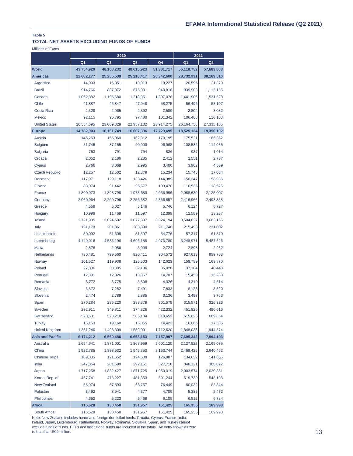#### **TOTAL NET ASSETS EXCLUDING FUNDS OF FUNDS**

Millions of Euros

|                         | 2020           |                |                |                | 2021           |                |  |
|-------------------------|----------------|----------------|----------------|----------------|----------------|----------------|--|
|                         | Q <sub>1</sub> | Q <sub>2</sub> | Q <sub>3</sub> | Q <sub>4</sub> | Q <sub>1</sub> | Q <sub>2</sub> |  |
| <b>World</b>            | 43,754,920     | 48,108,232     | 48,615,923     | 51,381,717     | 55,118,752     | 57,683,803     |  |
| <b>Americas</b>         | 22,682,177     | 25,255,539     | 25,218,417     | 26,342,600     | 28,732,931     | 30,169,510     |  |
| Argentina               | 14,003         | 16,851         | 19,013         | 18,227         | 20,596         | 21,370         |  |
| <b>Brazil</b>           | 914,766        | 887,072        | 875,001        | 940,816        | 939,903        | 1,115,135      |  |
| Canada                  | 1,062,382      | 1,195,680      | 1,218,951      | 1,307,076      | 1,441,906      | 1,531,528      |  |
| Chile                   | 41,887         | 46,847         | 47,948         | 58,275         | 56,496         | 53,107         |  |
| Costa Rica              | 2,329          | 2,965          | 2,892          | 2,589          | 2.804          | 3,082          |  |
| Mexico                  | 92,115         | 96,795         | 97,480         | 101,342        | 106,468        | 110,103        |  |
| <b>United States</b>    | 20,554,695     | 23,009,329     | 22,957,132     | 23,914,275     | 26, 164, 758   | 27,335,185     |  |
| Europe                  | 14,782,903     | 16, 161, 749   | 16,607,396     | 17,729,695     | 18,525,124     | 19,350,102     |  |
| Austria                 | 145,253        | 155,960        | 162,312        | 170,195        | 175,521        | 186,352        |  |
| <b>Belgium</b>          | 81,745         | 87,155         | 90,008         | 96,968         | 108,582        | 114,035        |  |
| <b>Bulgaria</b>         | 753            | 791            | 794            | 836            | 937            | 1,014          |  |
| Croatia                 | 2,052          | 2,186          | 2,285          | 2,412          | 2,551          | 2,737          |  |
| Cyprus                  | 2,766          | 3,069          | 2,995          | 3,400          | 3,962          | 4,569          |  |
| <b>Czech Republic</b>   | 12,257         | 12,502         | 12,879         | 15,234         | 15,748         | 17,034         |  |
| <b>Denmark</b>          | 117,971        | 129,118        | 133,426        | 144,389        | 150,347        | 158,936        |  |
| Finland                 | 83,074         | 91,442         | 95,577         | 103,470        | 110,535        | 118,525        |  |
| France                  | 1,800,973      | 1,893,798      | 1,973,680      | 2,066,996      | 2,088,639      | 2,125,007      |  |
| Germany                 | 2,060,964      | 2,200,796      | 2,256,682      | 2,366,897      | 2,416,966      | 2,493,858      |  |
| Greece                  | 4,558          | 5,027          | 5,146          | 5,746          | 6,124          | 6,727          |  |
| Hungary                 | 10,998         | 11,469         | 11,597         | 12,399         | 12,589         | 13,237         |  |
| Ireland                 | 2,721,905      | 3,024,502      | 3,077,397      | 3,324,194      | 3,504,827      | 3,683,165      |  |
| Italy                   | 191,178        | 201,861        | 203,890        | 211,748        | 215,498        | 221,002        |  |
| Liechtenstein           | 50,092         | 51,608         | 51,597         | 54,776         | 57,317         | 61,379         |  |
| Luxembourg              | 4,149,916      | 4,585,196      | 4,696,186      | 4,973,780      | 5,248,971      | 5,487,526      |  |
| Malta                   | 2,876          | 2,986          | 3,009          | 2,724          | 2,898          | 2,932          |  |
| Netherlands             | 730,481        | 799,560        | 820,411        | 904,572        | 927,613        | 959,763        |  |
| Norway                  | 101,527        | 119,938        | 125,503        | 142,623        | 159,789        | 169,870        |  |
| Poland                  | 27,836         | 30,395         | 32,106         | 35,028         | 37,104         | 40,448         |  |
| Portugal                | 12,391         | 12,826         | 13,357         | 14,707         | 15,450         | 16,283         |  |
| Romania                 | 3,772          | 3,775          | 3,808          | 4,026          | 4,310          | 4,514          |  |
| Slovakia                | 6,872          | 7,282          | 7,491          | 7,833          | 8,123          | 8,520          |  |
| Slovenia                | 2,474          | 2,789          | 2,885          | 3,136          | 3,497          | 3,763          |  |
| Spain                   | 270,284        | 285,220        | 288,379        | 301,578        | 315,571        | 326,326        |  |
| Sweden                  | 292,911        | 349,811        | 374,826        | 422,332        | 451,926        | 490,616        |  |
| Switzerland             | 528,631        | 573,218        | 585,104        | 610,653        | 615,625        | 669,854        |  |
| <b>Turkey</b>           | 15,153         | 19,160         | 15,065         | 14,423         | 16,066         | 17,536         |  |
| <b>United Kingdom</b>   | 1,351,240      | 1,498,309      | 1,559,001      | 1,712,620      | 1,848,038      | 1,944,574      |  |
| <b>Asia and Pacific</b> | 6,174,212      | 6,560,486      | 6,658,153      | 7,157,997      | 7,695,342      | 7,994,193      |  |
| Australia               | 1,654,641      | 1,871,001      | 1,863,959      | 2,001,120      | 2,127,922      | 2,169,075      |  |
| China                   | 1,922,785      | 1,898,532      | 1,945,753      | 2,163,744      | 2,469,425      | 2,640,452      |  |
| <b>Chinese Taipei</b>   | 109,305        | 121,652        | 124,609        | 126,887        | 134,632        | 141,665        |  |
| India                   | 247,364        | 281,590        | 292,151        | 327,716        | 348,121        | 368,822        |  |
| Japan                   | 1,717,258      | 1,832,427      | 1,871,725      | 1,950,019      | 2,003,574      | 2,030,381      |  |
| Korea, Rep. of          | 457,741        | 478,227        | 481,353        | 501,244        | 519,739        | 548,198        |  |
| New Zealand             | 56,974         | 67,893         | 68,757         | 76,449         | 80,032         | 83,344         |  |
| Pakistan                | 3,492          | 3,941          | 4,377          | 4,709          | 5,385          | 5,472          |  |
| Philippines             | 4,652          | 5,223          | 5,469          | 6,109          | 6,512          | 6,784          |  |
| <b>Africa</b>           | 115,628        | 130,458        | 131,957        | 151,425        | 165,355        | 169,998        |  |
| South Africa            | 115,628        | 130,458        | 131,957        | 151,425        | 165,355        | 169,998        |  |

Note: New Zealand includes home-and-foreign domiciled funds. Croatia, Cyprus, France, India, Ireland, Japan, Luxembourg, Netherlands, Norway, Romania, Slovakia, Spain, and Turkey cannot exclude funds of funds. ETFs and Institutional funds are included in the totals. An entry shown as zero is less than .500 million.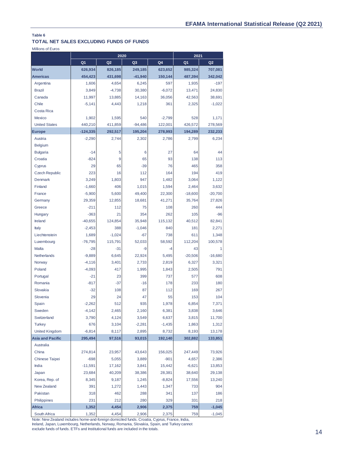## **TOTAL NET SALES EXCLUDING FUNDS OF FUNDS**

Millions of Euros

|                               |                | 2020           |                | 2021           |                |                      |
|-------------------------------|----------------|----------------|----------------|----------------|----------------|----------------------|
|                               | Q <sub>1</sub> | Q <sub>2</sub> | Q <sub>3</sub> | Q4             | Q <sub>1</sub> | Q <sub>2</sub>       |
| <b>World</b>                  | 626,934        | 826,185        | 249,185        | 623,652        | 985,324        | 707,081              |
| <b>Americas</b>               | 454,423        | 431,698        | $-41,940$      | 150,144        | 487,394        | 342,042              |
| Argentina                     | 1,606          | 4,654          | 6,245          | 597            | 1,935          | $-197$               |
| <b>Brazil</b>                 | 3,849          | $-4,738$       | 30,380         | $-6,072$       | 13,471         | 24,830               |
| Canada                        | 11,997         | 13,885         | 14,163         | 36,056         | 42,563         | 38,691               |
| Chile                         | $-5,141$       | 4,443          | 1,218          | 361            | 2,325          | $-1,022$             |
| Costa Rica                    |                |                |                |                |                |                      |
| Mexico                        | 1,902          | 1,595          | 540            | $-2,799$       | 528            | 1,171                |
| <b>United States</b>          | 440,210        | 411,859        | $-94,486$      | 122,001        | 426,572        | 278,569              |
| <b>Europe</b>                 | $-124,335$     | 292,517        | 195,204        | 278,993        | 194,289        | 232,233              |
| Austria                       | $-2,290$       | 2,744          | 2,302          | 2,786          | 2,799          | 6,234                |
| <b>Belgium</b>                |                |                |                |                |                |                      |
| <b>Bulgaria</b>               | $-14$          | 5              | 6              | 27             | 64             | 44                   |
| Croatia                       | $-824$         | 9              | 65             | 93             | 138            | 113                  |
| Cyprus                        | 29             | 65             | $-39$          | 76             | 465            | 358                  |
| <b>Czech Republic</b>         | 223            | 16             | 112            | 164            | 194            | 419                  |
| Denmark                       | 3,249          | 1,803          | 947            | 1,482          | 3,064          | 1,122                |
| Finland                       | $-1,660$       | 406            | 1,015          | 1,594          | 2,464          | 3,632                |
| France                        | $-5,900$       | 5,600          | 49,400         | 22,300         | $-18,600$      | $-20,700$            |
| Germany                       | 29,359         | 12,855         | 18,681         | 41,271         | 35,764         | 27,826               |
| Greece                        | $-211$         | 112            | 75             | 108            | 260            | 444                  |
| Hungary                       | $-363$         | 21             | 354            | 262            | 105            | $-96$                |
| Ireland                       | $-40,655$      | 124,854        | 35,948         | 115,132        | 40,512         | 82,841               |
| Italy                         | $-2,453$       | 388            | $-1,046$       | 840            | 181            | 2,271                |
| Liechtenstein                 | 1,689          | $-1,024$       | $-67$          | 738            | 611            | 1,348                |
| Luxembourg                    | $-76,795$      | 115,791        | 52,033         | 58,592         | 112,204        | 100,578              |
| Malta                         | $-28$          | $-31$          | -9             | -4             | 43             |                      |
| Netherlands                   | $-9,889$       | 6,645          | 22,924         | 5,495          | $-20,506$      | $-16,680$            |
| Norway                        | $-4,116$       | 3,401          | 2,733          | 2,819          | 6,327          | 3,321                |
| Poland                        | $-4,093$       | 417            | 1,995          | 1,843          | 2,505          | 791                  |
| Portugal                      | $-21$          | 23             | 399            | 737            | 577            | 608                  |
| Romania                       | $-817$         | $-37$          | $-16$          | 178            | 233            | 180                  |
| Slovakia                      | $-32$          | 108            | 87             | 112            | 169            | 267                  |
| Slovenia                      | 29             | 24             | 47             | 55             | 153            | 104                  |
| Spain                         | $-2,262$       | 512            | 935            | 1,978          | 6,854          | 7,371                |
| Sweden                        | $-4,142$       | 2,465          | 2,160          | 6,381          | 3,838          | 3,646                |
| Switzerland                   | 3,790          | 4,124          | 3,549          | 6,637          | 3,815          | 11,700               |
| <b>Turkey</b>                 | 676            | 3,104          | $-2,281$       | $-1,435$       | 1,863          | 1,312                |
| <b>United Kingdom</b>         | $-6,814$       | 8,117          | 2,895          | 8,732          | 8,193          | 13,178               |
| <b>Asia and Pacific</b>       | 295,494        | 97,516         | 93,015         | 192,140        | 302,882        | 133,851              |
| Australia                     |                |                |                |                |                |                      |
| China                         | 274,814        | 23,957         | 43,643         | 156,025        | 247,449        | 73,926               |
| <b>Chinese Taipei</b>         | $-698$         | 5,055          | 3,889          | $-901$         | 4,657          | 2,386                |
| India                         | $-11,591$      | 17,162         | 3,841          | 15,442         | $-6,621$       | 13,853               |
| Japan                         | 23,684         | 40,209         | 38,386         | 28,381         | 38,640         | 29,138               |
| Korea, Rep. of                | 8,345          | 9,187          | 1,245          | $-8,824$       | 17,556         | 13,240               |
| New Zealand                   | 391            | 1,272          | 1,443          | 1,347          | 733            | 904                  |
| Pakistan                      | 318            | 462            | 288            | 341            | 137            | 186                  |
| Philippines                   | 231            | 212            | 280            | 329            | 331            | 218                  |
| <b>Africa</b><br>South Africa | 1,352<br>1,352 | 4,454<br>4,454 | 2,906<br>2,906 | 2,375<br>2,375 | 759<br>759     | $-1,045$<br>$-1,045$ |

Note: New Zealand includes home-and-foreign domiciled funds. Croatia, Cyprus, France, India, Ireland, Japan, Luxembourg, Netherlands, Norway, Romania, Slovakia, Spain, and Turkey cannot exclude funds of funds. ETFs and Institutional funds are included in the totals.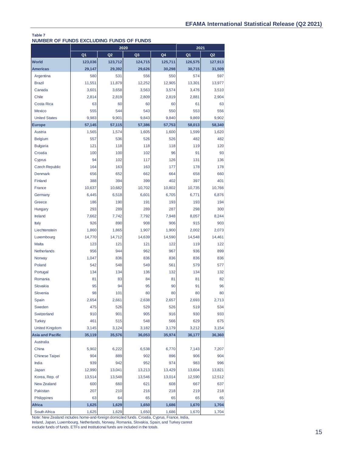#### **NUMBER OF FUNDS EXCLUDING FUNDS OF FUNDS Table 7**

|                         | 2020           |                |         |         | 2021           |                |  |
|-------------------------|----------------|----------------|---------|---------|----------------|----------------|--|
|                         | Q <sub>1</sub> | Q <sub>2</sub> | Q3      | Q4      | Q <sub>1</sub> | Q <sub>2</sub> |  |
| <b>World</b>            | 123,036        | 123,712        | 124,715 | 125,711 | 126,575        | 127,913        |  |
| <b>Americas</b>         | 29,147         | 29,392         | 29,626  | 30,298  | 30,715         | 31,509         |  |
| Argentina               | 580            | 531            | 556     | 550     | 574            | 597            |  |
| <b>Brazil</b>           | 11,551         | 11.879         | 12,252  | 12,905  | 13,301         | 13,977         |  |
| Canada                  | 3,601          | 3,658          | 3,563   | 3,574   | 3,476          | 3,510          |  |
| Chile                   | 2,814          | 2,819          | 2,809   | 2,819   | 2,881          | 2,904          |  |
| Costa Rica              | 63             | 60             | 60      | 60      | 61             | 63             |  |
| Mexico                  | 555            | 544            | 543     | 550     | 553            | 556            |  |
| <b>United States</b>    | 9,983          | 9,901          | 9,843   | 9,840   | 9,869          | 9,902          |  |
| <b>Europe</b>           | 57,145         | 57,115         | 57,386  | 57,753  | 58,013         | 58,340         |  |
| Austria                 | 1,565          | 1,574          | 1,605   | 1,600   | 1,599          | 1,620          |  |
| <b>Belgium</b>          | 557            | 536            | 526     | 526     | 482            | 482            |  |
| <b>Bulgaria</b>         | 121            | 118            | 118     | 118     | 119            | 120            |  |
| Croatia                 | 100            | 100            | 102     | 96      | 91             | 93             |  |
| Cyprus                  | 94             | 102            | 117     | 126     | 131            | 136            |  |
| <b>Czech Republic</b>   | 164            | 163            | 163     | 177     | 178            | 178            |  |
| <b>Denmark</b>          | 656            | 652            | 662     | 664     | 658            | 660            |  |
| Finland                 | 388            | 394            | 399     | 402     | 397            | 401            |  |
| France                  | 10,637         | 10,682         | 10,702  | 10,802  | 10,735         | 10,766         |  |
| Germany                 | 6.445          | 6,518          | 6,601   | 6,705   | 6,771          | 6,876          |  |
| Greece                  | 186            | 190            | 191     | 193     | 193            | 194            |  |
| Hungary                 | 293            | 289            | 289     | 287     | 298            | 300            |  |
| Ireland                 | 7,662          | 7,742          | 7,792   | 7,948   | 8,057          | 8,244          |  |
| Italy                   | 926            | 890            | 908     | 906     | 915            | 903            |  |
| Liechtenstein           | 1,860          | 1,865          | 1,907   | 1,900   | 2,002          | 2,073          |  |
| Luxembourg              | 14,770         | 14,712         | 14,639  | 14,590  | 14,548         | 14,461         |  |
| <b>Malta</b>            | 123            | 121            | 121     | 122     | 119            | 122            |  |
| <b>Netherlands</b>      | 956            | 944            | 962     | 967     | 936            | 899            |  |
| Norway                  | 1,047          | 836            | 836     | 836     | 836            | 836            |  |
| Poland                  | 542            | 548            | 549     | 561     | 579            | 577            |  |
| Portugal                | 134            | 134            | 136     | 132     | 134            | 132            |  |
| Romania                 | 81             | 83             | 84      | 81      | 81             | 82             |  |
| Slovakia                | 95             | 94             | 95      | 90      | 91             | 96             |  |
| Slovenia                | 98             | 101            | 80      | 80      | 80             | 80             |  |
| Spain                   | 2,654          | 2.661          | 2,638   | 2,657   | 2,693          | 2,713          |  |
| Sweden                  | 475            | 526            | 529     | 526     | 519            | 534            |  |
| Switzerland             | 910            | 901            | 905     | 916     | 930            | 933            |  |
| <b>Turkey</b>           | 461            | 515            | 548     | 566     | 629            | 675            |  |
| <b>United Kingdom</b>   | 3,145          | 3,124          | 3,182   | 3,179   | 3,212          | 3,154          |  |
| <b>Asia and Pacific</b> | 35,119         | 35,576         | 36,053  | 35,974  | 36,177         | 36,360         |  |
| Australia               |                |                |         |         |                |                |  |
| China                   | 5,902          | 6,222          | 6,538   | 6,770   | 7,143          | 7,207          |  |
| <b>Chinese Taipei</b>   | 904            | 889            | 902     | 896     | 906            | 904            |  |
| India                   | 939            | 942            | 952     | 974     | 983            | 996            |  |
| Japan                   | 12,990         | 13,041         | 13,213  | 13,429  | 13,604         | 13,821         |  |
| Korea, Rep. of          | 13,514         | 13,548         | 13,546  | 13,014  | 12,590         | 12,512         |  |
| <b>New Zealand</b>      | 600            | 660            | 621     | 608     | 667            | 637            |  |
| Pakistan                | 207            | 210            | 216     | 218     | 219            | 218            |  |
| Philippines             | 63             | 64             | 65      | 65      | 65             | 65             |  |
| Africa                  | 1,625          | 1,629          | 1,650   | 1,686   | 1,670          | 1,704          |  |
| South Africa            | 1,625          | 1,629          | 1,650   | 1,686   | 1,670          | 1,704          |  |

Note: New Zealand includes home-and-foreign domiciled funds. Croatia, Cyprus, France, India, Ireland, Japan, Luxembourg, Netherlands, Norway, Romania, Slovakia, Spain, and Turkey cannot exclude funds of funds. ETFs and Institutional funds are included in the totals.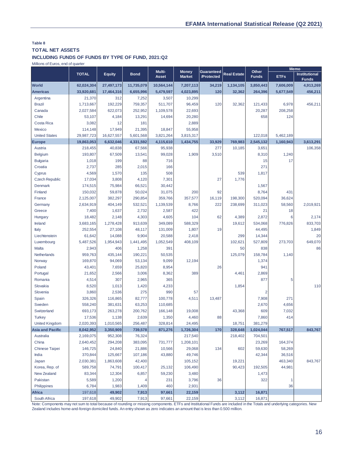#### **Table 8 TOTAL NET ASSETS**

### **INCLUDING FUNDS OF FUNDS BY TYPE OF FUND, 2021:Q2**

Millions of Euros, end of quarter

|                         |              |               |             | Multi-       | <b>Money</b>  | Guaranteed |                    | Other          |             | <b>Memo</b>                          |
|-------------------------|--------------|---------------|-------------|--------------|---------------|------------|--------------------|----------------|-------------|--------------------------------------|
|                         | <b>TOTAL</b> | <b>Equity</b> | <b>Bond</b> | <b>Asset</b> | <b>Market</b> | /Protected | <b>Real Estate</b> | <b>Funds</b>   | <b>ETFs</b> | <b>Institutional</b><br><b>Funds</b> |
| <b>World</b>            | 62,024,304   | 27,497,173    | 11,735,079  | 10,564,144   | 7,207,113     | 34,219     | 1,134,105          | 3,850,443      | 7,606,009   | 4,913,269                            |
| <b>Americas</b>         | 33,920,681   | 17,464,316    | 6,655,996   | 5,479,597    | 4,023,895     | 120        | 32,362             | 264,396        | 5,677,549   | 456,211                              |
| Argentina               | 21,370       | 312           | 7,252       | 3,507        | 10,299        |            |                    |                |             |                                      |
| <b>Brazil</b>           | 1,713,667    | 192,229       | 759,357     | 511,707      | 96,459        | 120        | 32,362             | 121,433        | 6,978       | 456,211                              |
| Canada                  | 2,027,584    | 622,073       | 252,952     | 1,109,578    | 22,693        |            |                    | 20,287         | 208,258     |                                      |
| Chile                   | 53,107       | 4,184         | 13,291      | 14,694       | 20,280        |            |                    | 658            | 124         |                                      |
| Costa Rica              | 3,082        | 12            | 181         |              | 2,889         |            |                    |                |             |                                      |
| Mexico                  | 114,148      | 17,949        | 21,395      | 18,847       | 55,958        |            |                    |                |             |                                      |
| <b>United States</b>    | 29,987,723   | 16,627,557    | 5,601,568   | 3,821,264    | 3,815,317     |            |                    | 122,018        | 5,462,189   |                                      |
| <b>Europe</b>           | 19,863,053   | 6,632,046     | 4,331,592   | 4,115,610    | 1,434,755     | 33,929     | 769.983            | 2,545,132      | 1,160,943   | 3,613,291                            |
| Austria                 | 218,455      | 40,838        | 67,566      | 95,938       |               | 277        | 10,185             | 3,651          |             | 106,358                              |
| <b>Belgium</b>          | 193,807      | 67,509        | 13,541      | 99,028       | 1,909         | 3,510      |                    | 8,310          | 1,240       |                                      |
| <b>Bulgaria</b>         | 1,018        | 199           | 88          | 716          |               |            |                    | 15             | 17          |                                      |
| Croatia                 | 2,737        | 285           | 2,015       | 166          |               |            |                    | 271            |             |                                      |
| Cyprus                  | 4,569        | 1,570         | 135         | 508          |               |            | 539                | 1,817          |             |                                      |
| <b>Czech Republic</b>   | 17,034       | 3,808         | 4,120       | 7,301        |               | 27         | 1,776              |                |             |                                      |
| Denmark                 | 174,515      | 75,984        | 66,521      | 30,442       |               |            |                    | 1,567          |             |                                      |
| Finland                 | 150,032      | 59,878        | 50,024      | 31,075       | 200           | 92         |                    | 8,764          | 431         |                                      |
| France                  | 2,125,007    | 382,297       | 290,854     | 359,766      | 357,577       | 16,119     | 198,300            | 520,094        | 36,624      |                                      |
| Germany                 | 2,634,919    | 404,149       | 532,521     | 1,139,539    | 8,766         | 222        | 238,699            | 311,023        | 58,560      | 2,019,921                            |
| Greece                  | 7,400        | 1,637         | 2,732       | 2,587        | 422           |            |                    | 21             | 18          |                                      |
| Hungary                 | 18,482       | 2,148         | 4,303       | 4,605        | 104           | 62         | 4,389              | 2,872          | 6           | 2,174                                |
| Ireland                 | 3,683,165    | 1,278,428     | 913,639     | 349,089      | 588,329       |            | 19,612             | 534,068        | 776,826     | 833,703                              |
| Italy                   | 252,554      | 27,108        | 48,117      | 131,009      | 1,807         | 19         |                    | 44,495         |             | 1,849                                |
| Liechtenstein           | 61,642       | 14,088        | 9,904       | 20,588       | 2,418         |            | 299                | 14,344         |             | 20                                   |
| Luxembourg              | 5,487,526    | 1,954,943     | 1,441,495   | 1,052,549    | 408,109       |            | 102,621            | 527,809        | 273,703     | 649,070                              |
| Malta                   | 2,943        | 406           | 1,258       | 391          |               |            | 50                 | 838            |             | 86                                   |
| Netherlands             | 959,763      | 435,144       | 190,221     | 50,535       |               |            | 125,079            | 158,784        | 1,140       |                                      |
| Norway                  | 169,870      | 94,069        | 53,134      | 9,099        | 12,194        |            |                    | 1,374          |             |                                      |
| Poland                  | 43,401       | 7,659         | 25,820      | 8,954        |               | 26         |                    | 941            |             |                                      |
| Portugal                | 21,652       | 2,566         | 3,006       | 8,362        | 389           |            | 4,461              | 2,869          |             |                                      |
| Romania                 | 4,514        | 307           | 2,965       | 365          |               |            |                    | 877            | 5           |                                      |
| Slovakia                | 8,520        | 1,013         | 1,420       | 4,233        |               |            | 1,854              |                |             | 110                                  |
| Slovenia                | 3,860        | 2,536         | 275         | 990          | 57            |            |                    | $\overline{2}$ |             |                                      |
| Spain                   | 326,326      | 116,865       | 82,777      | 100,778      | 4,511         | 13,487     |                    | 7,908          | 271         |                                      |
| Sweden                  | 558,240      | 381,631       | 63,253      | 110,685      |               |            |                    | 2,670          | 4,656       |                                      |
| Switzerland             | 693,173      | 263,278       | 200,762     | 166,148      | 19,008        |            | 43,368             | 609            | 7,032       |                                      |
| <b>Turkey</b>           | 17,536       | 1,138         | 2,639       | 1,350        | 4,460         | 88         |                    | 7,860          | 414         |                                      |
| <b>United Kingdom</b>   | 2,020,393    | 1,010,565     | 256,487     | 328,814      | 24,495        |            | 18,751             | 381,279        |             |                                      |
| <b>Asia and Pacific</b> | 8,042,952    | 3,350,909     | 739,578     | 871,276      | 1,726,304     | 170        | 328,648            | 1,024,044      | 767,517     | 843,767                              |
| Australia               | 2,169,075    | 952,308       | 76,324      |              | 217,540       |            | 218,402            | 704,501        |             |                                      |
| China                   | 2,640,452    | 294,208       | 383,095     | 731,777      | 1,208,101     |            |                    | 23,269         | 164,374     |                                      |
| Chinese Taipei          | 146,725      | 24,840        | 21,886      | 10,566       | 29,068        | 134        | 602                | 59,630         | 58,269      |                                      |
| India                   | 370,844      | 125,667       | 107,186     | 43,880       | 49,746        |            |                    | 42,344         | 36,516      |                                      |
| Japan                   | 2,030,381    | 1,863,608     | 42,400      |              | 105,152       |            | 19,221             |                | 463,340     | 843,767                              |
| Korea, Rep. of          | 589,758      | 74,791        | 100,417     | 25,132       | 106,490       |            | 90,423             | 192,505        | 44,981      |                                      |
| New Zealand             | 83,344       | 12,304        | 6,857       | 59,230       | 3,480         |            |                    | 1,473          |             |                                      |
| Pakistan                | 5,589        | 1,200         |             | 231          | 3,796         | 36         |                    | 322            | 1           |                                      |
| Philippines             | 6,784        | 1,983         | 1,409       | 460          | 2,931         |            |                    |                | 36          |                                      |
| <b>Africa</b>           | 197,618      | 49,902        | 7,913       | 97,661       | 22,159        |            | 3,112              | 16,871         |             |                                      |
| South Africa            | 197,618      | 49,902        | 7,913       | 97,661       | 22,159        |            | 3,112              | 16,871         |             |                                      |

Note: Components may not sum to total because of rounding or missing components. ETFs and Institutional Funds are included in the Totals and underlying categories. New Zealand includes home-and-foreign domiciled funds. An entry shown as zero indicates an amount that is less than 0.500 million.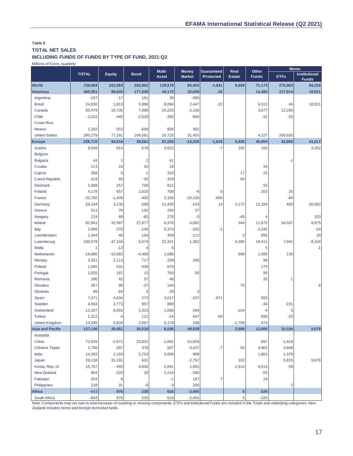## **TOTAL NET SALES**

**INCLUDING FUNDS OF FUNDS BY TYPE OF FUND, 2021:Q2**

Millions of Euros, quarterly

|                         |              |               |                | Multi-   | <b>Money</b>  | Guaranteed | Real          | Other        |             | <b>Memo</b>                          |
|-------------------------|--------------|---------------|----------------|----------|---------------|------------|---------------|--------------|-------------|--------------------------------------|
|                         | <b>TOTAL</b> | <b>Equity</b> | <b>Bond</b>    | Asset    | <b>Market</b> | /Protected | <b>Estate</b> | <b>Funds</b> | <b>ETFs</b> | <b>Institutional</b><br><b>Funds</b> |
| <b>World</b>            | 738,569      | 222,263       | 252,852        | 118,579  | 65,493        | $-1,841$   | 9,608         | 71,174       | 270,963     | 69,216                               |
| <b>Americas</b>         | 365,551      | 96,820        | 177,538        | 44,172   | 32,658        | $-22$      |               | 14,385       | 217,914     | 18,021                               |
| Argentina               | $-197$       | $-17$         | 161            | 39       | $-380$        |            |               |              |             |                                      |
| <b>Brazil</b>           | 24,830       | 1,813         | 5,986          | 8,094    | 2,447         | $-22$      |               | 6,513        | 44          | 18,021                               |
| Canada                  | 50,479       | 16,735        | 7,999          | 24,223   | $-2,156$      |            |               | 3,677        | 12,265      |                                      |
| Chile                   | $-1,022$     | 445           | $-2,520$       | 285      | 800           |            |               | $-32$        | $-25$       |                                      |
| Costa Rica              |              |               |                |          |               |            |               |              |             |                                      |
| Mexico                  | 1,182        | 553           | $-669$         | 806      | 492           |            |               |              |             |                                      |
| <b>United States</b>    | 290,279      | 77,291        | 166,581        | 10,725   | 31,455        |            |               | 4,227        | 205,630     |                                      |
| <b>Europe</b>           | 236,715      | 94,016        | 39,561         | 67,255   | $-14,239$     | $-1,819$   | 6,935         | 45,004       | 42,865      | 41,517                               |
| Austria                 | 5,549        | 914           | 678            | 3,622    |               | $-7$       | 192           | 150          |             | 3,252                                |
| <b>Belgium</b>          |              |               |                |          |               |            |               |              |             |                                      |
| <b>Bulgaria</b>         | 44           | $\mathbf{1}$  | $\overline{2}$ | 41       |               |            |               |              | $-1$        |                                      |
| Croatia                 | 113          | 18            | 42             | 18       |               |            |               | 34           |             |                                      |
| Cyprus                  | 358          | 5             | $\overline{1}$ | 310      |               |            | 17            | 25           |             |                                      |
| <b>Czech Republic</b>   | 419          | 60            | $-30$          | 329      |               |            | 60            |              |             |                                      |
| Denmark                 | 1,689        | 257           | 756            | 621      |               |            |               | 55           |             |                                      |
| Finland                 | 4,178        | 657           | 2,610          | 708      | -6            | 5          |               | 203          | 25          |                                      |
| France                  | $-20,700$    | $-1,400$      | $-400$         | 2,100    | $-20,100$     | $-900$     |               |              | $-84$       |                                      |
| Germany                 | 29,194       | 3,135         | $-598$         | 11,430   | $-143$        | 14         | 3,172         | 12,184       | 450         | 20,082                               |
| Greece                  | 511          | 76            | 192            | 206      | 37            |            |               |              |             |                                      |
| Hungary                 | 219          | 69            | $-82$          | 276      | $-3$          |            | $-45$         | 4            |             | 103                                  |
| Ireland                 | 82,841       | 32,587        | 27,877         | 6,376    | 4,082         |            | 344           | 11,575       | 34,567      | 9,975                                |
| Italy                   | 2,066        | 370           | $-149$         | 5,374    | $-182$        | $-1$       |               | $-3,345$     |             | $-24$                                |
| Liechtenstein           | 1,344        | 46            | 104            | 409      | $-112$        |            | 3             | 895          |             | 20                                   |
| Luxembourg              | 100,578      | 47,104        | 6,074          | 22,321   | 1,382         |            | 4,286         | 19,411       | 7,941       | 8,104                                |
| Malta                   | 1            | $-13$         | $\overline{4}$ | 5        |               |            |               | 5            |             | $-1$                                 |
| Netherlands             | $-16,680$    | $-15,583$     | $-4,469$       | 1,088    |               |            | 699           | 1,585        | 135         |                                      |
| Norway                  | 3,321        | 2,113         | 717            | 228      | 166           |            |               | 98           |             |                                      |
| Poland                  | 1,045        | 531           | $-336$         | 676      |               |            |               | 174          |             |                                      |
| Portugal                | 1,025        | 187           | 13             | 760      | $-30$         |            |               | 95           |             |                                      |
| Romania                 | 180          | 42            | 57             | 46       |               |            |               | 35           | 1           |                                      |
| Slovakia                | 267          | 90            | $-37$          | 144      |               |            | 70            |              |             | 6                                    |
| Slovenia                | 99           | 64            | 3              | 29       | 3             |            |               |              |             |                                      |
| Spain                   | 7,371        | 4,634         | 273            | 3,017    | $-237$        | $-871$     |               | 555          |             |                                      |
| Sweden                  | 4,584        | 2,773         | 957            | 889      |               |            |               | $-34$        | $-151$      |                                      |
| Switzerland             | 12,207       | 8,655         | 2,323          | 1,068    | 269           |            | $-104$        | $-4$         | 5           |                                      |
| <b>Turkey</b>           | 1,312        | -4            | 112            | $-14$    | 447           | $-59$      |               | 830          | $-23$       |                                      |
| <b>United Kingdom</b>   | 13,580       | 6,628         | 2,867          | 5,178    | 188           |            | $-1,759$      | 474          |             |                                      |
| <b>Asia and Pacific</b> | 137,146      | 30,451        | 35,518         | 6,536    | 49,529        |            | 2,668         | 12,005       | 10,184      | 9,678                                |
| Australia               |              |               |                |          |               |            |               |              |             |                                      |
| China                   | 73,926       | $-2,671$      | 23,922         | $-1,081$ | 53,059        |            |               | 697          | $-1,918$    |                                      |
| <b>Chinese Taipei</b>   | 2,756        | 297           | 378            | 507      | $-3,437$      | $-7$       | 56            | 4,962        | 4,848       |                                      |
| India                   | 14,293       | 2,193         | 5,753          | 3,059    | 986           |            |               | 1,863        | 1,378       |                                      |
| Japan                   | 29,138       | 31,191        | 601            |          | $-2,757$      |            | 102           |              | 5,815       | 9,678                                |
| Korea, Rep. of          | 15,707       | $-493$        | 4,845          | 2,841    | 1,491         |            | 2,510         | 4,514        | 59          |                                      |
| <b>New Zealand</b>      | 904          | $-103$        | 28             | 1,214    | $-180$        |            |               | $-55$        |             |                                      |
| Pakistan                | 204          | 6             |                | -1       | 167           | 7          |               | 24           |             |                                      |
| Philippines             | 218          | 31            | $-9$           | $-3$     | 200           |            |               |              | 2           |                                      |
| <b>Africa</b>           | $-843$       | 976           | 235            | 616      | $-2,455$      |            | 5             | $-220$       |             |                                      |
| South Africa            | $-843$       | 976           | 235            | 616      | $-2,455$      |            | 5             | $-220$       |             |                                      |

Note: Components may not sum to total because of rounding or missing components. ETFs and Institutional Funds are included in the Totals and underlying categories. New Zealand includes home-and-foreign domiciled funds.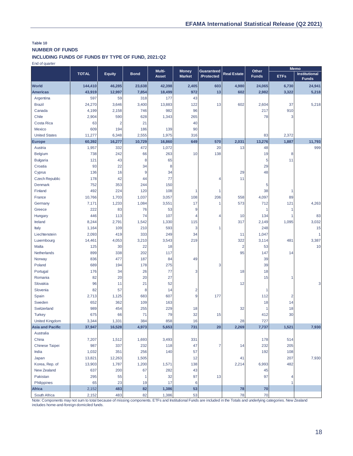## **Table 10 NUMBER OF FUNDS**

**INCLUDING FUNDS OF FUNDS BY TYPE OF FUND, 2021:Q2**

End of quarter

|                         |              |                |             | Multi-       | <b>Money</b>   | Guaranteed     |                    | Other        |                | <b>Memo</b>                          |  |
|-------------------------|--------------|----------------|-------------|--------------|----------------|----------------|--------------------|--------------|----------------|--------------------------------------|--|
|                         | <b>TOTAL</b> | <b>Equity</b>  | <b>Bond</b> | <b>Asset</b> | <b>Market</b>  | /Protected     | <b>Real Estate</b> | <b>Funds</b> | <b>ETFs</b>    | <b>Institutional</b><br><b>Funds</b> |  |
| <b>World</b>            | 144,410      | 46,285         | 23,638      | 42,398       | 2,405          | 603            | 4,980              | 24,065       | 6,730          | 24,941                               |  |
| <b>Americas</b>         | 43,919       | 12,997         | 7,854       | 18,499       | 972            | 13             | 602                | 2,982        | 3,322          | 5,218                                |  |
| Argentina               | 597          | 59             | 318         | 177          | 43             |                |                    |              |                |                                      |  |
| <b>Brazil</b>           | 24,270       | 3,646          | 3,400       | 13,883       | 122            | 13             | 602                | 2,604        | 37             | 5,218                                |  |
| Canada                  | 4,199        | 2,158          | 746         | 982          | 96             |                |                    | 217          | 910            |                                      |  |
| Chile                   | 2,904        | 590            | 628         | 1,343        | 265            |                |                    | 78           | 3              |                                      |  |
| Costa Rica              | 63           | $\overline{2}$ | 21          |              | 40             |                |                    |              |                |                                      |  |
| Mexico                  | 609          | 194            | 186         | 139          | 90             |                |                    |              |                |                                      |  |
| <b>United States</b>    | 11,277       | 6,348          | 2,555       | 1,975        | 316            |                |                    | 83           | 2,372          |                                      |  |
| <b>Europe</b>           | 60,392       | 16,277         | 10,729      | 16,860       | 649            | 570            | 2,031              | 13,276       | 1,887          | 11,793                               |  |
| Austria                 | 1,957        | 332            | 472         | 1,072        |                | 20             | 13                 | 48           |                | 999                                  |  |
| <b>Belgium</b>          | 738          | 242            | 66          | 263          | 10             | 138            |                    | 19           | 8              |                                      |  |
| <b>Bulgaria</b>         | 121          | 43             | 8           | 65           |                |                |                    | 5            | 11             |                                      |  |
| Croatia                 | 93           | 22             | 34          | 8            |                |                |                    | 29           |                |                                      |  |
| Cyprus                  | 136          | 16             | 9           | 34           |                |                | 29                 | 48           |                |                                      |  |
| <b>Czech Republic</b>   | 178          | 42             | 44          | 77           |                | 4              | 11                 |              |                |                                      |  |
| Denmark                 | 752          | 353            | 244         | 150          |                |                |                    | 5            |                |                                      |  |
| Finland                 | 492          | 224            | 120         | 108          | 1              | 1              |                    | 38           | 1              |                                      |  |
| France                  | 10,766       | 1,703          | 1,037       | 3,057        | 108            | 206            | 558                | 4,097        | 89             |                                      |  |
| Germany                 | 7,171        | 1,233          | 1,084       | 3,551        | 17             | 1              | 573                | 712          | 121            | 4,263                                |  |
| Greece                  | 222          | 83             | 76          | 53           | 9              |                |                    | 1            | 1              |                                      |  |
| Hungary                 | 446          | 113            | 74          | 107          | 4              | 4              | 10                 | 134          | 1              | 83                                   |  |
| Ireland                 | 8,244        | 2,791          | 1,542       | 1,330        | 115            |                | 317                | 2,149        | 1,095          | 3,032                                |  |
| Italy                   | 1,164        | 109            | 210         | 593          | 3              | 1              |                    | 248          |                | 15                                   |  |
| Liechtenstein           | 2,093        | 419            | 333         | 249          | 34             |                | 11                 | 1,047        |                | 1                                    |  |
| Luxembourg              | 14,461       | 4,053          | 3,210       | 3,543        | 219            |                | 322                | 3,114        | 481            | 3,387                                |  |
| Malta                   | 125          | 30             | 22          | 18           |                |                | $\overline{2}$     | 53           |                | 10                                   |  |
| Netherlands             | 899          | 338            | 202         | 117          |                |                | 95                 | 147          | 14             |                                      |  |
| Norway                  | 836          | 477            | 187         | 84           | 49             |                |                    | 39           |                |                                      |  |
| Poland                  | 689          | 194            | 178         | 275          |                | 3              |                    | 39           |                |                                      |  |
| Portugal                | 176          | 34             | 26          | 77           | 3              |                | 18                 | 18           |                |                                      |  |
| Romania                 | 82           | 20             | 20          | 27           |                |                |                    | 15           | 1              |                                      |  |
| Slovakia                | 96           | 11             | 21          | 52           |                |                | 12                 |              |                | 3                                    |  |
| Slovenia                | 82           | 57             | 8           | 14           | $\overline{2}$ |                |                    | 1            |                |                                      |  |
| Spain                   | 2,713        | 1,125          | 683         | 607          | 9              | 177            |                    | 112          | $\overline{2}$ |                                      |  |
| Sweden                  | 652          | 362            | 109         | 163          |                |                |                    | 18           | 14             |                                      |  |
| Switzerland             | 989          | 454            | 255         | 229          | 18             |                | 32                 | 1            | 18             |                                      |  |
| <b>Turkey</b>           | 675          | 66             | 71          | 79           | 32             | 15             |                    | 412          | 30             |                                      |  |
| <b>United Kingdom</b>   | 3,344        | 1,331          | 384         | 858          | 16             |                | 28                 | 727          |                |                                      |  |
| <b>Asia and Pacific</b> | 37,947       | 16,528         | 4,973       | 5,653        | 731            | 20             | 2,269              | 7,737        | 1,521          | 7,930                                |  |
| Australia               |              |                |             |              |                |                |                    |              |                |                                      |  |
| China                   | 7,207        | 1,512          | 1,693       | 3,493        | 331            |                |                    | 178          | 514            |                                      |  |
| Chinese Taipei          | 987          | 337            | 232         | 118          | 47             | $\overline{7}$ | 14                 | 232          | 205            |                                      |  |
| India                   | 1,032        | 351            | 256         | 140          | 57             |                |                    | 192          | 108            |                                      |  |
| Japan                   | 13,821       | 12,263         | 1,505       |              | 12             |                | 41                 |              | 207            | 7,930                                |  |
| Korea, Rep. of          | 13,903       | 1,787          | 1,200       | 1,571        | 138            |                | 2,214              | 6,993        | 482            |                                      |  |
| New Zealand             | 637          | 200            | 67          | 282          | 43             |                |                    | 45           |                |                                      |  |
| Pakistan                | 295          | 55             | 1           | 32           | 97             | 13             |                    | 97           | 4              |                                      |  |
| Philippines             | 65           | 23             | 19          | 17           | $\,6\,$        |                |                    |              | 1              |                                      |  |
| <b>Africa</b>           | 2,152        | 483            | 82          | 1,386        | 53             |                | 78                 | 70           |                |                                      |  |
| South Africa            | 2,152        | 483            | 82          | 1,386        | 53             |                | 78                 | 70           |                |                                      |  |

Note: Components may not sum to total because of missing components. ETFs and Institutional Funds are included in the Totals and underlying categories. New Zealand includes home-and-foreign domiciled funds.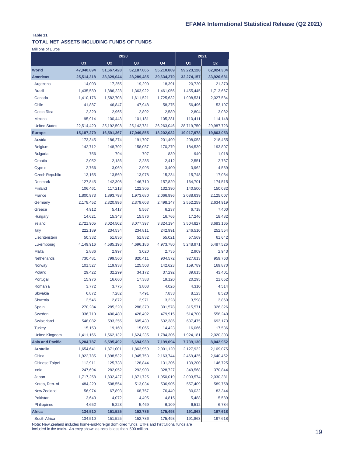## **TOTAL NET ASSETS INCLUDING FUNDS OF FUNDS**

Millions of Euros

|                         |                | 2020           |                | 2021       |                |                |  |
|-------------------------|----------------|----------------|----------------|------------|----------------|----------------|--|
|                         | Q <sub>1</sub> | Q <sub>2</sub> | Q <sub>3</sub> | Q4         | Q <sub>1</sub> | Q <sub>2</sub> |  |
| <b>World</b>            | 47,040,894     | 51,667,428     | 52,187,065     | 55,210,889 | 59,223,128     | 62,024,304     |  |
| <b>Americas</b>         | 25,514,318     | 28,329,044     | 28,289,485     | 29,634,270 | 32,274,157     | 33,920,681     |  |
| Argentina               | 14,003         | 17,255         | 19,290         | 18,391     | 20,720         | 21,370         |  |
| <b>Brazil</b>           | 1,435,589      | 1,386,228      | 1,363,922      | 1,461,056  | 1,455,445      | 1,713,667      |  |
| Canada                  | 1,410,176      | 1,582,708      | 1,611,521      | 1,725,632  | 1,908,531      | 2,027,584      |  |
| Chile                   | 41,887         | 46,847         | 47,948         | 58,275     | 56,496         | 53,107         |  |
| Costa Rica              | 2,329          | 2,965          | 2,892          | 2,589      | 2,804          | 3,082          |  |
| Mexico                  | 95,914         | 100,443        | 101,181        | 105,281    | 110,411        | 114,148        |  |
| <b>United States</b>    | 22,514,420     | 25,192,598     | 25,142,731     | 26,263,046 | 28,719,750     | 29,987,723     |  |
| <b>Europe</b>           | 15,187,279     | 16,591,367     | 17,049,855     | 18,202,032 | 19,017,978     | 19,863,053     |  |
| Austria                 | 173,345        | 186,274        | 191,707        | 201,490    | 208,053        | 218,455        |  |
| <b>Belgium</b>          | 142,712        | 148,702        | 158,057        | 170,279    | 184,539        | 193,807        |  |
| <b>Bulgaria</b>         | 756            | 794            | 797            | 839        | 940            | 1,018          |  |
| Croatia                 | 2,052          | 2,186          | 2,285          | 2,412      | 2,551          | 2,737          |  |
| Cyprus                  | 2,766          | 3,069          | 2,995          | 3,400      | 3,962          | 4,569          |  |
| <b>Czech Republic</b>   | 13,165         | 13,569         | 13,978         | 15,234     | 15,748         | 17,034         |  |
| Denmark                 | 127,845        | 142,308        | 146,710        | 157,820    | 164,701        | 174,515        |  |
| Finland                 | 106,461        | 117,213        | 122,305        | 132,390    | 140,500        | 150,032        |  |
| France                  | 1,800,973      | 1,893,798      | 1,973,680      | 2,066,996  | 2,088,639      | 2,125,007      |  |
| Germany                 | 2,178,452      | 2,320,996      | 2,379,603      | 2,498,147  | 2,552,259      | 2,634,919      |  |
| Greece                  | 4.912          | 5,417          | 5,567          | 6,237      | 6,718          | 7,400          |  |
| Hungary                 | 14,621         | 15,343         | 15,576         | 16,766     | 17,246         | 18,482         |  |
| Ireland                 | 2,721,905      | 3,024,502      | 3,077,397      | 3,324,194  | 3,504,827      | 3,683,165      |  |
| Italy                   | 222,189        | 234,534        | 234,811        | 242,991    | 246,510        | 252,554        |  |
| Liechtenstein           | 50,332         | 51,836         | 51,832         | 55,021     | 57,569         | 61,642         |  |
| Luxembourg              | 4,149,916      | 4,585,196      | 4,696,186      | 4,973,780  | 5,248,971      | 5,487,526      |  |
| Malta                   | 2,886          | 2,997          | 3,020          | 2,735      | 2,909          | 2,943          |  |
| Netherlands             | 730,481        | 799,560        | 820,411        | 904,572    | 927,613        | 959,763        |  |
| Norway                  | 101,527        | 119,938        | 125,503        | 142,623    | 159,789        | 169,870        |  |
| Poland                  | 29,422         | 32,299         | 34,172         | 37,292     | 39,615         | 43,401         |  |
| Portugal                | 15,976         | 16,660         | 17,383         | 19,120     | 20,295         | 21,652         |  |
| Romania                 | 3,772          | 3,775          | 3.808          | 4,026      | 4,310          | 4,514          |  |
| Slovakia                | 6,872          | 7,282          | 7,491          | 7,833      | 8,123          | 8,520          |  |
| Slovenia                | 2,546          | 2,872          | 2,971          | 3,228      | 3,598          | 3,860          |  |
| Spain                   | 270,284        | 285,220        | 288,379        | 301,578    | 315,571        | 326,326        |  |
| Sweden                  | 336,710        | 400,480        | 428,492        | 479,915    | 514,700        | 558,240        |  |
| Switzerland             | 548,082        | 593,255        | 605,439        | 632,385    | 637,475        | 693,173        |  |
| <b>Turkey</b>           | 15,153         | 19,160         | 15,065         | 14,423     | 16,066         | 17,536         |  |
| <b>United Kingdom</b>   | 1,411,166      | 1,562,132      | 1,624,235      | 1,784,306  | 1,924,181      | 2,020,393      |  |
| <b>Asia and Pacific</b> | 6,204,787      | 6,595,492      | 6,694,939      | 7,199,094  | 7,739,130      | 8,042,952      |  |
| Australia               | 1,654,641      | 1,871,001      | 1,863,959      | 2,001,120  | 2,127,922      | 2,169,075      |  |
| China                   | 1,922,785      | 1,898,532      | 1,945,753      | 2,163,744  | 2,469,425      | 2,640,452      |  |
| <b>Chinese Taipei</b>   | 112,911        | 125,738        | 128,844        | 131,206    | 139,200        | 146,725        |  |
| India                   | 247,694        | 282,052        | 292,903        | 328,727    | 349,568        | 370,844        |  |
| Japan                   | 1,717,258      | 1,832,427      | 1,871,725      | 1,950,019  | 2,003,574      | 2,030,381      |  |
| Korea, Rep. of          | 484,229        | 508,554        | 513,034        | 536,905    | 557,409        | 589,758        |  |
| New Zealand             | 56,974         | 67,893         | 68,757         | 76,449     | 80,032         | 83,344         |  |
| Pakistan                | 3,643          | 4,072          | 4,495          | 4,815      | 5,488          | 5,589          |  |
| Philippines             | 4,652          | 5,223          | 5,469          | 6,109      | 6,512          | 6,784          |  |
| <b>Africa</b>           | 134,510        | 151,525        | 152,786        | 175,493    | 191,863        | 197,618        |  |
| South Africa            | 134,510        | 151,525        | 152,786        | 175,493    | 191,863        | 197,618        |  |

Note: New Zealand includes home-and-foreign domiciled funds. ETFs and Institutional funds are included in the totals. An entry shown as zero is less than .500 million.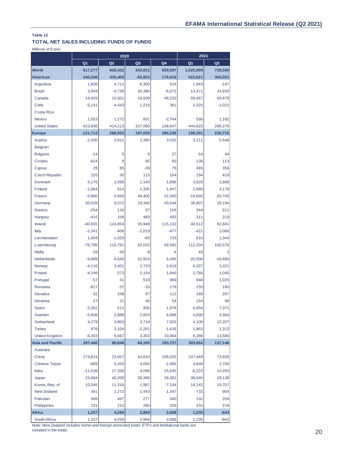## **TOTAL NET SALES INCLUDING FUNDS OF FUNDS**

Millions of Euros

|                         | 2020                |                |                 |                    | 2021             |                  |  |
|-------------------------|---------------------|----------------|-----------------|--------------------|------------------|------------------|--|
|                         | Q <sub>1</sub>      | Q <sub>2</sub> | Q <sub>3</sub>  | Q4                 | Q <sub>1</sub>   | Q <sub>2</sub>   |  |
| <b>World</b>            | 617,277             | 828,432        | 243,631         | 659,597            | 1,025,909        | 738,569          |  |
| <b>Americas</b>         | 440,208             | 435,403        | $-50,553$       | 176,916            | 522,621          | 365,551          |  |
| Argentina               | 1,606               | 4,712          | 6,300           | 524                | 1,943            | $-197$           |  |
| <b>Brazil</b>           | 3,849               | $-4,738$       | 30,380          | $-6,072$           | 13,471           | 24,830           |  |
| Canada                  | 14,403              | 15,501         | 18,008          | 48,220             | 59,467           | 50,479           |  |
| Chile                   | $-5,141$            | 4,443          | 1,218           | 361                | 2,325            | $-1,022$         |  |
| Costa Rica              |                     |                |                 |                    |                  |                  |  |
| Mexico                  | 1,553               | 1,272          | 601             | $-2,764$           | 590              | 1,182            |  |
| <b>United States</b>    | 423,938             | 414,213        | $-107,060$      | 136,647            | 444,825          | 290,279          |  |
| <b>Europe</b>           | $-121,713$          | 288,933        | 197,035         | 286,236            | 198,201          | 236,715          |  |
| Austria                 | $-2,200$            | 2,911          | 2,380           | 3,032              | 3,211            | 5,549            |  |
| <b>Belgium</b>          |                     |                |                 |                    |                  |                  |  |
| <b>Bulgaria</b>         | $-14$               | 5              | 6               | 27                 | 64               | 44               |  |
| Croatia                 | $-824$              | 9              | 65              | 93                 | 138              | 113              |  |
| Cyprus                  | 29                  | 65             | $-39$           | 76                 | 465              | 358              |  |
| <b>Czech Republic</b>   | 225                 | 30             | 115             | 164                | 194              | 419              |  |
| Denmark                 | 5,176               | 2,095          | 1,140           | 1,896              | 3,626            | 1,689            |  |
| Finland                 | $-1,064$            | 614            | 1,335           | 1,947              | 2,689            | 4,178            |  |
| France                  | $-5,900$            | 5,600          | 49,400          | 22,300             | $-18,600$        | $-20,700$        |  |
| Germany                 | 30,026              | 9,072          | 19,340          | 45.544             | 36.807           | 29,194           |  |
| Greece                  | $-254$              | 116            | 97              | 156                | 344              | 511              |  |
| Hungary                 | $-415$              | 109            | 483             | 455                | 311              | 219              |  |
| <b>Ireland</b>          | $-40,655$           | 124,854        | 35,948          | 115,132            | 40,512           | 82,841           |  |
| <b>Italy</b>            | $-2,341$            | $-406$         | $-2,019$        | $-477$             | $-421$           | 2,066            |  |
| Liechtenstein           | 1,669               | $-1,029$       | $-65$           | 733                | 610              | 1,344            |  |
| Luxembourg              | $-76,795$           | 115,791        | 52,033          | 58,592             | 112,204          | 100,578          |  |
| Malta                   | $-28$               | $-30$          | -9              | $-4$               | 43               | 1                |  |
| <b>Netherlands</b>      | $-9,889$            | 6,645          | 22,924          | 5,495              | $-20,506$        | $-16,680$        |  |
| Norway                  | $-4,116$            | 3,401          | 2,733           | 2,819              | 6,327            | 3,321            |  |
| Poland                  | $-4,246$            | 573            | 2,154           | 1,945              | 2,780            | 1,045            |  |
| Portugal                | $-57$               | 41             | 519             | 969                | 948              | 1,025            |  |
| Romania                 | $-817$              | $-37$          | $-16$           | 178                | 233              | 180              |  |
| Slovakia                | $-32$               | 108            | 87              | 112                | 169              | 267              |  |
| Slovenia                | 27                  | 21             | 46              | 54                 | 154              | 99               |  |
| Spain                   | $-2,262$            | 512            | 935             | 1,978              | 6,854            | 7,371            |  |
| Sweden                  | $-5,608$            | 2,889          | 2,653           | 6,888              | 4,690            | 4,584            |  |
| Switzerland             | 4,279               | 3,803          | 3,718           | 7,503              | 4,106            | 12,207           |  |
| <b>Turkey</b>           | 676                 | 3,104          | $-2,281$        | $-1,435$           | 1,863            | 1,312            |  |
| <b>United Kingdom</b>   | $-6,303$            | 8,067          | 3,353           | 10,064             | 8,386            | 13,580           |  |
| <b>Asia and Pacific</b> | 297,445             | 99,846         | 94,165          | 193,757            | 303,852          | 137,146          |  |
| Australia               |                     |                |                 |                    |                  |                  |  |
| China                   | 274,814             | 23,957         | 43,643          | 156,025            | 247,449          | 73,926           |  |
| Chinese Taipei<br>India | $-989$<br>$-11,538$ | 5,205          | 4,050<br>4,099  | $-1,066$           | 4,648            | 2,756            |  |
|                         |                     | 17,208         |                 | 15,645             | $-6,223$         | 14,293           |  |
| Japan<br>Korea, Rep. of | 23,684<br>10,546    | 40,209         | 38,386<br>1,987 | 28,381<br>$-7,244$ | 38,640<br>18,142 | 29,138<br>15,707 |  |
|                         | 391                 | 11,316         |                 |                    | 733              |                  |  |
| New Zealand<br>Pakistan | 306                 | 1,272<br>467   | 1,443<br>277    | 1,347<br>340       | 132              | 904<br>204       |  |
| Philippines             | 231                 | 212            | 280             | 329                | 331              | 218              |  |
| Africa                  | 1,337               | 4,250          | 2,984           | 2,688              | 1,235            | $-843$           |  |
| South Africa            | 1,337               | 4,250          | 2,984           | 2,688              | 1,235            | $-843$           |  |

Note: New Zealand includes home-and-foreign domiciled funds. ETFs and Institutional funds are included in the totals.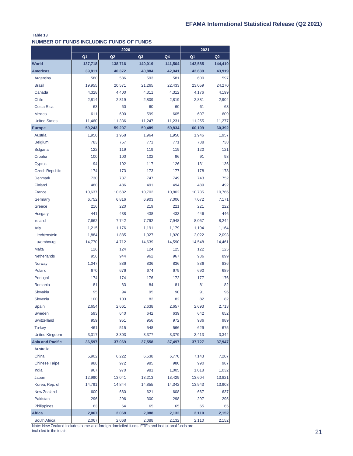| NUMBER OF FUNDS INCLUDING FUNDS OF FUNDS |                   |                        |                |               |                  |                  |
|------------------------------------------|-------------------|------------------------|----------------|---------------|------------------|------------------|
|                                          |                   | 2020<br>Q <sub>2</sub> |                |               |                  | 2021             |
|                                          | Q <sub>1</sub>    |                        | Q3             | Q4            | Q <sub>1</sub>   | Q2               |
| <b>World</b><br><b>Americas</b>          | 137,718<br>39,811 | 138,716                | 140,019        | 141,504       | 142,585          | 144,410          |
| Argentina                                | 580               | 40,372<br>586          | 40,884<br>593  | 42,041<br>581 | 42,639<br>600    | 43,919<br>597    |
| <b>Brazil</b>                            |                   |                        |                |               |                  |                  |
| Canada                                   | 19,955            | 20,571                 | 21,265         | 22,433        | 23,059           | 24,270           |
| Chile                                    | 4,328             | 4,400                  | 4,311<br>2,809 | 4,312         | 4,176            | 4,199            |
| Costa Rica                               | 2,814<br>63       | 2,819<br>60            | 60             | 2,819<br>60   | 2,881<br>61      | 2,904<br>63      |
| Mexico                                   | 611               | 600                    | 599            | 605           | 607              | 609              |
| <b>United States</b>                     | 11,460            |                        | 11,247         | 11,231        |                  |                  |
|                                          | 59,243            | 11,336<br>59,207       | 59,489         | 59,834        | 11,255<br>60,109 | 11,277<br>60,392 |
| <b>Europe</b><br>Austria                 |                   |                        |                |               |                  |                  |
|                                          | 1,950             | 1,958                  | 1,964          | 1,958         | 1,946            | 1,957            |
| <b>Belgium</b>                           | 783               | 757                    | 771            | 771           | 738              | 738              |
| <b>Bulgaria</b>                          | 122               | 119                    | 119            | 119           | 120<br>91        | 121<br>93        |
| Croatia                                  | 100               | 100                    | 102            | 96            |                  |                  |
| Cyprus<br><b>Czech Republic</b>          | 94<br>174         | 102<br>173             | 117<br>173     | 126<br>177    | 131<br>178       | 136<br>178       |
| <b>Denmark</b>                           | 730               | 737                    | 747            | 749           | 743              | 752              |
| Finland                                  | 480               | 486                    | 491            | 494           | 489              | 492              |
| France                                   | 10,637            | 10,682                 | 10,702         | 10,802        | 10,735           | 10,766           |
|                                          | 6,752             | 6,816                  | 6,903          | 7,006         | 7,072            | 7,171            |
| Germany                                  | 216               | 220                    | 219            | 221           | 221              | 222              |
| Greece                                   | 441               | 438                    | 438            | 433           | 446              | 446              |
| Hungary<br>Ireland                       | 7,662             | 7,742                  | 7,792          | 7,948         | 8,057            | 8,244            |
| <b>Italy</b>                             | 1,215             | 1,176                  | 1,191          | 1,179         | 1,194            | 1,164            |
| Liechtenstein                            | 1,884             | 1,885                  | 1,927          | 1,920         | 2,022            | 2,093            |
| Luxembourg                               | 14,770            | 14,712                 | 14,639         | 14,590        | 14,548           | 14,461           |
| <b>Malta</b>                             | 126               | 124                    | 124            | 125           | 122              | 125              |
| Netherlands                              | 956               | 944                    | 962            | 967           | 936              | 899              |
| Norway                                   | 1,047             | 836                    | 836            | 836           | 836              | 836              |
| Poland                                   | 670               | 676                    | 674            | 679           | 690              | 689              |
| Portugal                                 | 174               | 174                    | 176            | 172           | 177              | 176              |
| Romania                                  | 81                | 83                     | 84             | 81            | 81               | 82               |
| Slovakia                                 | 95                | 94                     | 95             | 90            | 91               | 96               |
| Slovenia                                 | 100               | 103                    | 82             | 82            | 82               | 82               |
| Spain                                    | 2,654             | 2,661                  | 2,638          | 2,657         | 2,693            | 2,713            |
| Sweden                                   | 593               | 640                    | 642            | 639           | 642              | 652              |
| Switzerland                              | 959               | 951                    | 956            | 972           | 986              | 989              |
| <b>Turkey</b>                            | 461               | 515                    | 548            | 566           | 629              | 675              |
| <b>United Kingdom</b>                    | 3,317             | 3,303                  | 3,377          | 3,379         | 3,413            | 3,344            |
| <b>Asia and Pacific</b>                  | 36,597            | 37,069                 | 37,558         | 37,497        | 37,727           | 37,947           |
| Australia                                |                   |                        |                |               |                  |                  |
| China                                    | 5,902             | 6,222                  | 6,538          | 6,770         | 7,143            | 7,207            |
| Chinese Taipei                           | 988               | 972                    | 985            | 980           | 990              | 987              |
| India                                    | 967               | 970                    | 981            | 1,005         | 1,018            | 1,032            |
| Japan                                    | 12,990            | 13,041                 | 13,213         | 13,429        | 13,604           | 13,821           |
| Korea, Rep. of                           | 14,791            | 14,844                 | 14,855         | 14,342        | 13,943           | 13,903           |
| New Zealand                              | 600               | 660                    | 621            | 608           | 667              | 637              |
| Pakistan                                 | 296               | 296                    | 300            | 298           | 297              | 295              |
| Philippines                              | 63                | 64                     | 65             | 65            | 65               | 65               |
| <b>Africa</b>                            | 2,067             | 2,068                  | 2,088          | 2,132         | 2,110            | 2,152            |

Note: New Zealand includes home-and-foreign domiciled funds. ETFs and Institutional funds are included in the totals.

South Africa 2,067 2,068 2,088 2,132 2,110 2,152

21